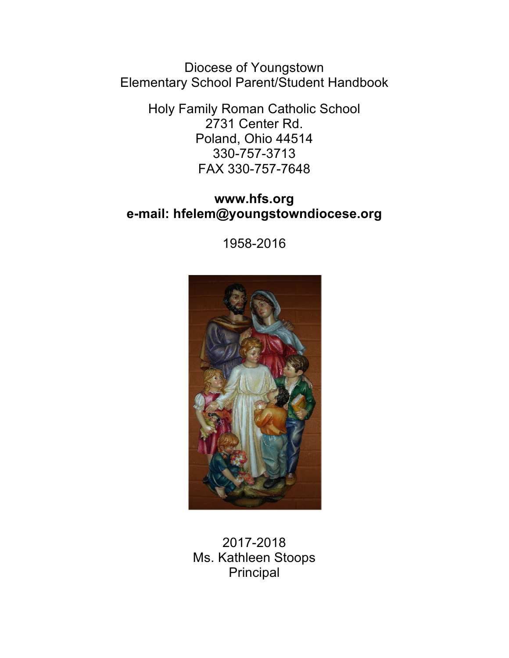Diocese of Youngstown Elementary School Parent/Student Handbook

> Holy Family Roman Catholic School 2731 Center Rd. Poland, Ohio 44514 330-757-3713 FAX 330-757-7648

### **www.hfs.org e-mail: hfelem@youngstowndiocese.org**

1958-2016



## 2017-2018 Ms. Kathleen Stoops Principal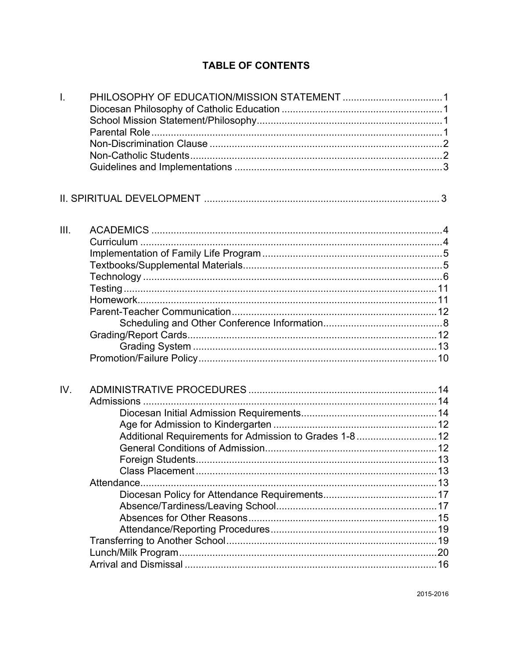### **TABLE OF CONTENTS**

| Ī.   |                                                        |  |
|------|--------------------------------------------------------|--|
|      |                                                        |  |
|      |                                                        |  |
|      |                                                        |  |
|      |                                                        |  |
|      |                                                        |  |
| III. |                                                        |  |
|      |                                                        |  |
|      |                                                        |  |
|      |                                                        |  |
|      |                                                        |  |
|      |                                                        |  |
|      |                                                        |  |
|      |                                                        |  |
|      |                                                        |  |
|      |                                                        |  |
|      |                                                        |  |
|      |                                                        |  |
| IV.  |                                                        |  |
|      |                                                        |  |
|      |                                                        |  |
|      |                                                        |  |
|      | Additional Requirements for Admission to Grades 1-8 12 |  |
|      |                                                        |  |
|      | Foreign Students.                                      |  |
|      |                                                        |  |
|      | Attendance.                                            |  |
|      |                                                        |  |
|      |                                                        |  |
|      |                                                        |  |
|      |                                                        |  |
|      |                                                        |  |
|      |                                                        |  |
|      |                                                        |  |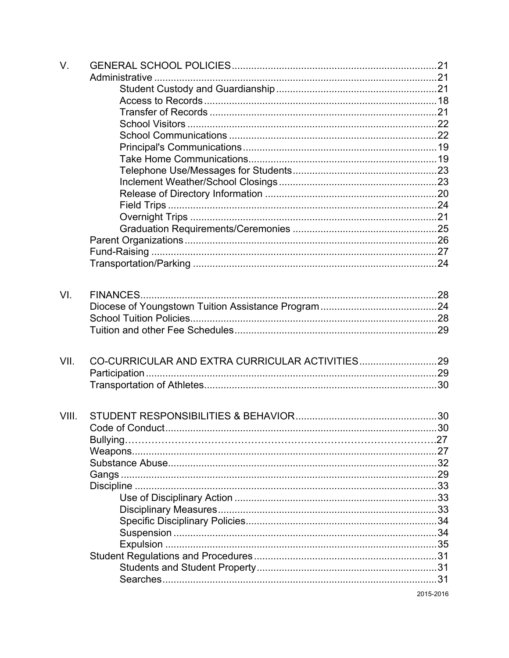| V.    |  |
|-------|--|
|       |  |
|       |  |
|       |  |
|       |  |
|       |  |
|       |  |
|       |  |
|       |  |
|       |  |
|       |  |
|       |  |
|       |  |
|       |  |
|       |  |
|       |  |
|       |  |
|       |  |
|       |  |
| VI.   |  |
|       |  |
|       |  |
|       |  |
|       |  |
| VII.  |  |
|       |  |
|       |  |
|       |  |
| VIII. |  |
|       |  |
|       |  |
|       |  |
|       |  |
|       |  |
|       |  |
|       |  |
|       |  |
|       |  |
|       |  |
|       |  |
|       |  |
|       |  |
|       |  |
|       |  |

2015-2016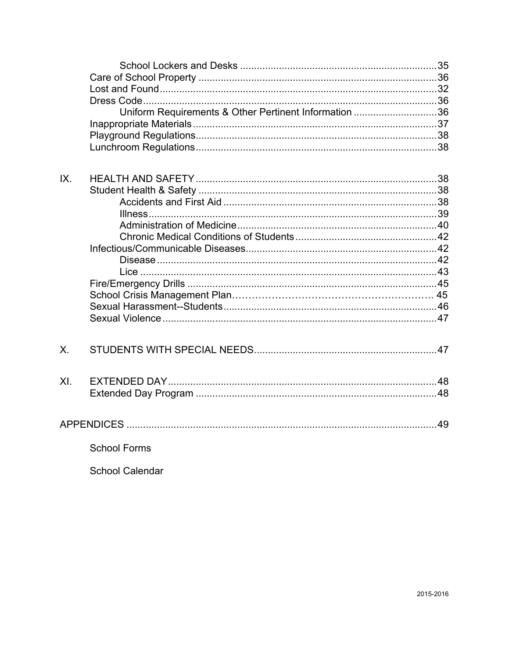|     | Uniform Requirements & Other Pertinent Information 36 |  |
|-----|-------------------------------------------------------|--|
| IX. |                                                       |  |
| Χ.  |                                                       |  |
| XI. |                                                       |  |
|     |                                                       |  |
|     | <b>School Forms</b>                                   |  |
|     | <b>School Calendar</b>                                |  |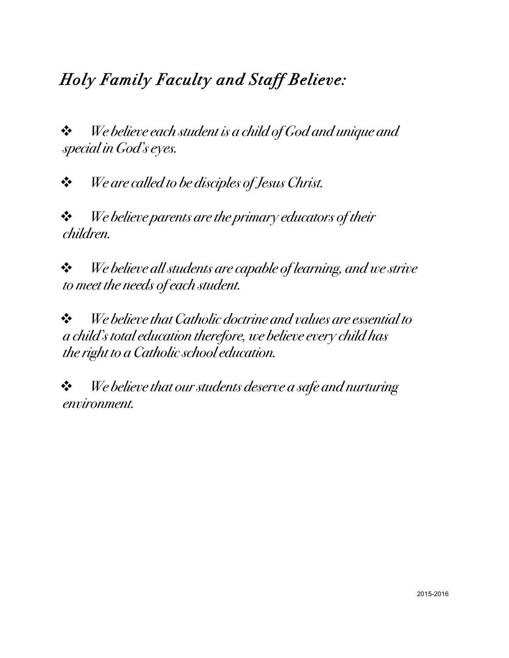# *Holy Family Faculty and Staff Believe:*

! *We believe each student is a child of God and unique and special in God's eyes.*

! *We are called to be disciples of Jesus Christ.*

! *We believe parents are the primary educators of their children.*

! *We believe all students are capable of learning, and we strive to meet the needs of each student.*

! *We believe that Catholic doctrine and values are essential to a child's total education therefore, we believe every child has the right to a Catholic school education.*

! *We believe that our students deserve a safe and nurturing environment.*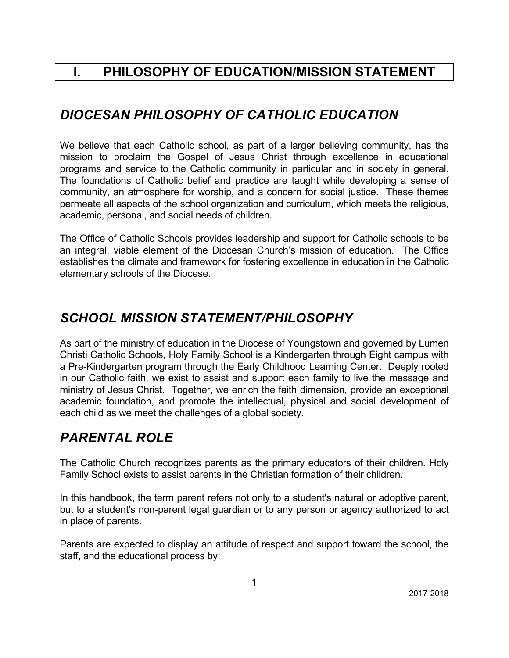## **I. PHILOSOPHY OF EDUCATION/MISSION STATEMENT**

## *DIOCESAN PHILOSOPHY OF CATHOLIC EDUCATION*

We believe that each Catholic school, as part of a larger believing community, has the mission to proclaim the Gospel of Jesus Christ through excellence in educational programs and service to the Catholic community in particular and in society in general. The foundations of Catholic belief and practice are taught while developing a sense of community, an atmosphere for worship, and a concern for social justice. These themes permeate all aspects of the school organization and curriculum, which meets the religious, academic, personal, and social needs of children.

The Office of Catholic Schools provides leadership and support for Catholic schools to be an integral, viable element of the Diocesan Church's mission of education. The Office establishes the climate and framework for fostering excellence in education in the Catholic elementary schools of the Diocese.

## *SCHOOL MISSION STATEMENT/PHILOSOPHY*

As part of the ministry of education in the Diocese of Youngstown and governed by Lumen Christi Catholic Schools, Holy Family School is a Kindergarten through Eight campus with a Pre-Kindergarten program through the Early Childhood Learning Center. Deeply rooted in our Catholic faith, we exist to assist and support each family to live the message and ministry of Jesus Christ. Together, we enrich the faith dimension, provide an exceptional academic foundation, and promote the intellectual, physical and social development of each child as we meet the challenges of a global society.

# *PARENTAL ROLE*

The Catholic Church recognizes parents as the primary educators of their children. Holy Family School exists to assist parents in the Christian formation of their children.

In this handbook, the term parent refers not only to a student's natural or adoptive parent, but to a student's non-parent legal guardian or to any person or agency authorized to act in place of parents.

Parents are expected to display an attitude of respect and support toward the school, the staff, and the educational process by: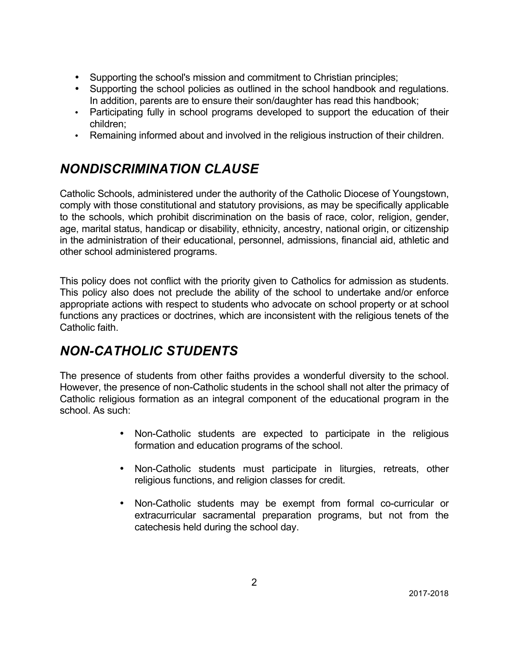- Supporting the school's mission and commitment to Christian principles;
- Supporting the school policies as outlined in the school handbook and regulations. In addition, parents are to ensure their son/daughter has read this handbook;
- Participating fully in school programs developed to support the education of their children;
- Remaining informed about and involved in the religious instruction of their children.

# *NONDISCRIMINATION CLAUSE*

Catholic Schools, administered under the authority of the Catholic Diocese of Youngstown, comply with those constitutional and statutory provisions, as may be specifically applicable to the schools, which prohibit discrimination on the basis of race, color, religion, gender, age, marital status, handicap or disability, ethnicity, ancestry, national origin, or citizenship in the administration of their educational, personnel, admissions, financial aid, athletic and other school administered programs.

This policy does not conflict with the priority given to Catholics for admission as students. This policy also does not preclude the ability of the school to undertake and/or enforce appropriate actions with respect to students who advocate on school property or at school functions any practices or doctrines, which are inconsistent with the religious tenets of the Catholic faith.

# *NON-CATHOLIC STUDENTS*

The presence of students from other faiths provides a wonderful diversity to the school. However, the presence of non-Catholic students in the school shall not alter the primacy of Catholic religious formation as an integral component of the educational program in the school. As such:

- Non-Catholic students are expected to participate in the religious formation and education programs of the school.
- Non-Catholic students must participate in liturgies, retreats, other religious functions, and religion classes for credit.
- Non-Catholic students may be exempt from formal co-curricular or extracurricular sacramental preparation programs, but not from the catechesis held during the school day.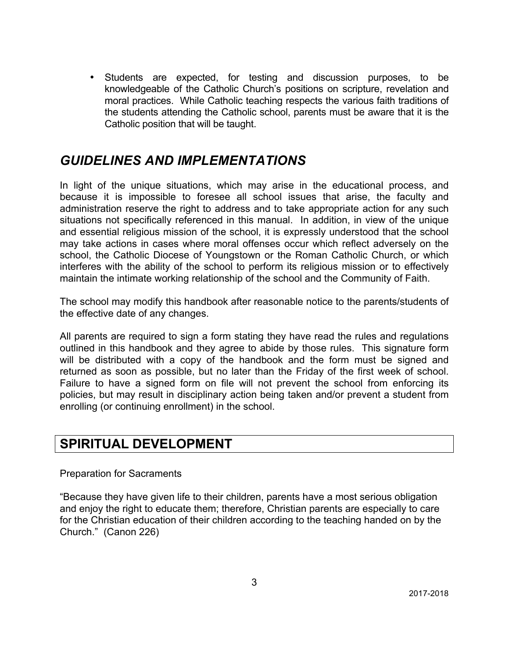• Students are expected, for testing and discussion purposes, to be knowledgeable of the Catholic Church's positions on scripture, revelation and moral practices. While Catholic teaching respects the various faith traditions of the students attending the Catholic school, parents must be aware that it is the Catholic position that will be taught.

### *GUIDELINES AND IMPLEMENTATIONS*

In light of the unique situations, which may arise in the educational process, and because it is impossible to foresee all school issues that arise, the faculty and administration reserve the right to address and to take appropriate action for any such situations not specifically referenced in this manual. In addition, in view of the unique and essential religious mission of the school, it is expressly understood that the school may take actions in cases where moral offenses occur which reflect adversely on the school, the Catholic Diocese of Youngstown or the Roman Catholic Church, or which interferes with the ability of the school to perform its religious mission or to effectively maintain the intimate working relationship of the school and the Community of Faith.

The school may modify this handbook after reasonable notice to the parents/students of the effective date of any changes.

All parents are required to sign a form stating they have read the rules and regulations outlined in this handbook and they agree to abide by those rules. This signature form will be distributed with a copy of the handbook and the form must be signed and returned as soon as possible, but no later than the Friday of the first week of school. Failure to have a signed form on file will not prevent the school from enforcing its policies, but may result in disciplinary action being taken and/or prevent a student from enrolling (or continuing enrollment) in the school.

## **SPIRITUAL DEVELOPMENT**

Preparation for Sacraments

"Because they have given life to their children, parents have a most serious obligation and enjoy the right to educate them; therefore, Christian parents are especially to care for the Christian education of their children according to the teaching handed on by the Church." (Canon 226)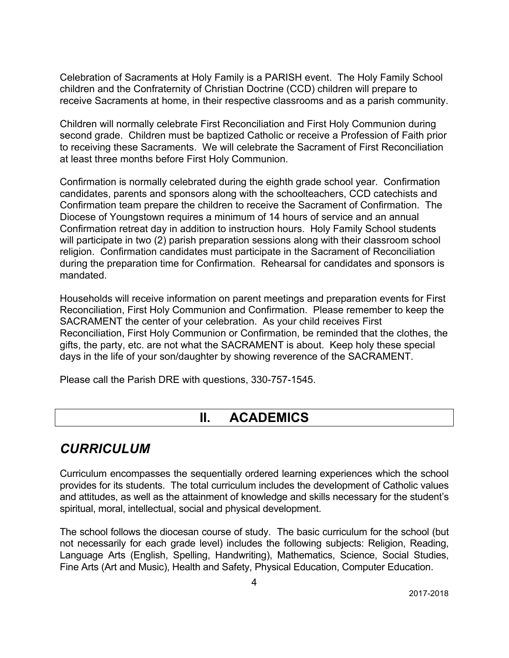Celebration of Sacraments at Holy Family is a PARISH event. The Holy Family School children and the Confraternity of Christian Doctrine (CCD) children will prepare to receive Sacraments at home, in their respective classrooms and as a parish community.

Children will normally celebrate First Reconciliation and First Holy Communion during second grade. Children must be baptized Catholic or receive a Profession of Faith prior to receiving these Sacraments. We will celebrate the Sacrament of First Reconciliation at least three months before First Holy Communion.

Confirmation is normally celebrated during the eighth grade school year. Confirmation candidates, parents and sponsors along with the schoolteachers, CCD catechists and Confirmation team prepare the children to receive the Sacrament of Confirmation. The Diocese of Youngstown requires a minimum of 14 hours of service and an annual Confirmation retreat day in addition to instruction hours. Holy Family School students will participate in two (2) parish preparation sessions along with their classroom school religion. Confirmation candidates must participate in the Sacrament of Reconciliation during the preparation time for Confirmation. Rehearsal for candidates and sponsors is mandated.

Households will receive information on parent meetings and preparation events for First Reconciliation, First Holy Communion and Confirmation. Please remember to keep the SACRAMENT the center of your celebration. As your child receives First Reconciliation, First Holy Communion or Confirmation, be reminded that the clothes, the gifts, the party, etc. are not what the SACRAMENT is about. Keep holy these special days in the life of your son/daughter by showing reverence of the SACRAMENT.

Please call the Parish DRE with questions, 330-757-1545.

### **II. ACADEMICS**

## *CURRICULUM*

Curriculum encompasses the sequentially ordered learning experiences which the school provides for its students. The total curriculum includes the development of Catholic values and attitudes, as well as the attainment of knowledge and skills necessary for the student's spiritual, moral, intellectual, social and physical development.

The school follows the diocesan course of study. The basic curriculum for the school (but not necessarily for each grade level) includes the following subjects: Religion, Reading, Language Arts (English, Spelling, Handwriting), Mathematics, Science, Social Studies, Fine Arts (Art and Music), Health and Safety, Physical Education, Computer Education.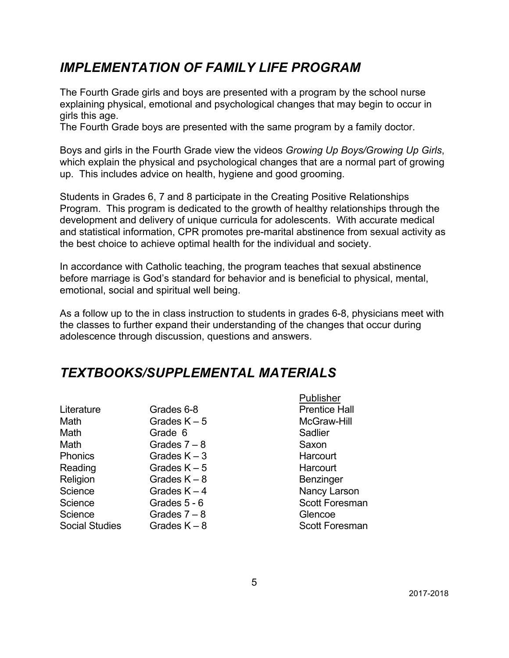## *IMPLEMENTATION OF FAMILY LIFE PROGRAM*

The Fourth Grade girls and boys are presented with a program by the school nurse explaining physical, emotional and psychological changes that may begin to occur in girls this age.

The Fourth Grade boys are presented with the same program by a family doctor.

Boys and girls in the Fourth Grade view the videos *Growing Up Boys/Growing Up Girls*, which explain the physical and psychological changes that are a normal part of growing up. This includes advice on health, hygiene and good grooming.

Students in Grades 6, 7 and 8 participate in the Creating Positive Relationships Program. This program is dedicated to the growth of healthy relationships through the development and delivery of unique curricula for adolescents. With accurate medical and statistical information, CPR promotes pre-marital abstinence from sexual activity as the best choice to achieve optimal health for the individual and society.

In accordance with Catholic teaching, the program teaches that sexual abstinence before marriage is God's standard for behavior and is beneficial to physical, mental, emotional, social and spiritual well being.

As a follow up to the in class instruction to students in grades 6-8, physicians meet with the classes to further expand their understanding of the changes that occur during adolescence through discussion, questions and answers.

## *TEXTBOOKS/SUPPLEMENTAL MATERIALS*

| Literature            | Grades 6-8     | Prentic        |
|-----------------------|----------------|----------------|
| Math                  | Grades $K - 5$ | <b>McGray</b>  |
| Math                  | Grade 6        | Sadlier        |
| Math                  | Grades $7 - 8$ | Saxon          |
| <b>Phonics</b>        | Grades $K - 3$ | Harcou         |
| Reading               | Grades $K - 5$ | Harcou         |
| Religion              | Grades $K - 8$ | Benzin         |
| Science               | Grades $K - 4$ | Nancy          |
| Science               | Grades 5 - 6   | <b>Scott F</b> |
| Science               | Grades $7 - 8$ | Glenco         |
| <b>Social Studies</b> | Grades $K - 8$ | <b>Scott F</b> |
|                       |                |                |

Publisher **Prentice Hall** McGraw-Hill Harcourt Harcourt **Benzinger** Nancy Larson Scott Foresman Glencoe Scott Foresman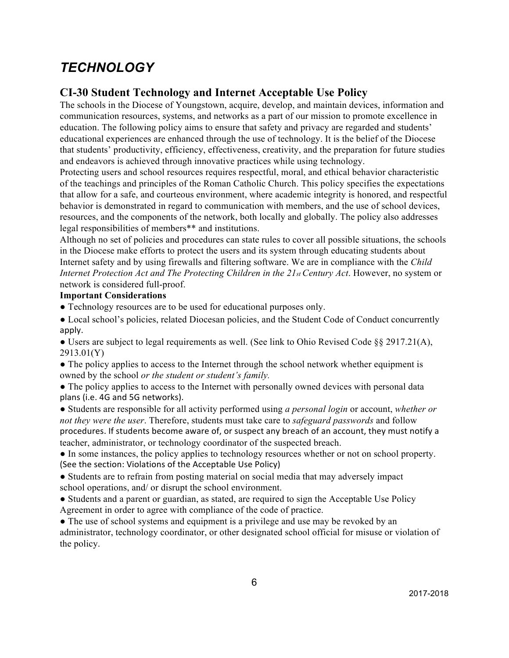# *TECHNOLOGY*

### **CI-30 Student Technology and Internet Acceptable Use Policy**

The schools in the Diocese of Youngstown, acquire, develop, and maintain devices, information and communication resources, systems, and networks as a part of our mission to promote excellence in education. The following policy aims to ensure that safety and privacy are regarded and students' educational experiences are enhanced through the use of technology. It is the belief of the Diocese that students' productivity, efficiency, effectiveness, creativity, and the preparation for future studies and endeavors is achieved through innovative practices while using technology.

Protecting users and school resources requires respectful, moral, and ethical behavior characteristic of the teachings and principles of the Roman Catholic Church. This policy specifies the expectations that allow for a safe, and courteous environment, where academic integrity is honored, and respectful behavior is demonstrated in regard to communication with members, and the use of school devices, resources, and the components of the network, both locally and globally. The policy also addresses legal responsibilities of members\*\* and institutions.

Although no set of policies and procedures can state rules to cover all possible situations, the schools in the Diocese make efforts to protect the users and its system through educating students about Internet safety and by using firewalls and filtering software. We are in compliance with the *Child Internet Protection Act and The Protecting Children in the 21st Century Act.* However, no system or network is considered full-proof.

#### **Important Considerations**

● Technology resources are to be used for educational purposes only.

● Local school's policies, related Diocesan policies, and the Student Code of Conduct concurrently apply. 

• Users are subject to legal requirements as well. (See link to Ohio Revised Code §§ 2917.21(A), 2913.01(Y)

• The policy applies to access to the Internet through the school network whether equipment is owned by the school *or the student or student's family.* 

• The policy applies to access to the Internet with personally owned devices with personal data plans (i.e. 4G and 5G networks).

● Students are responsible for all activity performed using *a personal login* or account, *whether or not they were the user*. Therefore, students must take care to *safeguard passwords* and follow procedures. If students become aware of, or suspect any breach of an account, they must notify a teacher, administrator, or technology coordinator of the suspected breach.

● In some instances, the policy applies to technology resources whether or not on school property. (See the section: Violations of the Acceptable Use Policy)

● Students are to refrain from posting material on social media that may adversely impact school operations, and/ or disrupt the school environment.

• Students and a parent or guardian, as stated, are required to sign the Acceptable Use Policy Agreement in order to agree with compliance of the code of practice.

• The use of school systems and equipment is a privilege and use may be revoked by an administrator, technology coordinator, or other designated school official for misuse or violation of the policy.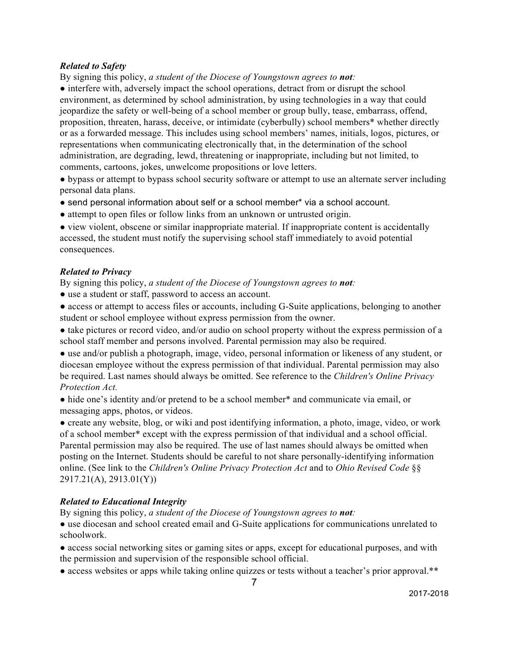#### *Related to Safety*

By signing this policy, *a student of the Diocese of Youngstown agrees to not:* 

• interfere with, adversely impact the school operations, detract from or disrupt the school environment, as determined by school administration, by using technologies in a way that could jeopardize the safety or well-being of a school member or group bully, tease, embarrass, offend, proposition, threaten, harass, deceive, or intimidate (cyberbully) school members\* whether directly or as a forwarded message. This includes using school members' names, initials, logos, pictures, or representations when communicating electronically that, in the determination of the school administration, are degrading, lewd, threatening or inappropriate, including but not limited, to comments, cartoons, jokes, unwelcome propositions or love letters.

● bypass or attempt to bypass school security software or attempt to use an alternate server including personal data plans.

- send personal information about self or a school member\* via a school account.
- attempt to open files or follow links from an unknown or untrusted origin.

● view violent, obscene or similar inappropriate material. If inappropriate content is accidentally accessed, the student must notify the supervising school staff immediately to avoid potential consequences.

#### *Related to Privacy*

By signing this policy, *a student of the Diocese of Youngstown agrees to not:* 

- use a student or staff, password to access an account.
- access or attempt to access files or accounts, including G-Suite applications, belonging to another student or school employee without express permission from the owner.
- take pictures or record video, and/or audio on school property without the express permission of a school staff member and persons involved. Parental permission may also be required.

● use and/or publish a photograph, image, video, personal information or likeness of any student, or diocesan employee without the express permission of that individual. Parental permission may also be required. Last names should always be omitted. See reference to the *Children's Online Privacy Protection Act.* 

● hide one's identity and/or pretend to be a school member\* and communicate via email, or messaging apps, photos, or videos.

● create any website, blog, or wiki and post identifying information, a photo, image, video, or work of a school member\* except with the express permission of that individual and a school official. Parental permission may also be required. The use of last names should always be omitted when posting on the Internet. Students should be careful to not share personally-identifying information online. (See link to the *Children's Online Privacy Protection Act* and to *Ohio Revised Code* §§ 2917.21(A), 2913.01(Y))

#### *Related to Educational Integrity*

By signing this policy, *a student of the Diocese of Youngstown agrees to not:* 

● use diocesan and school created email and G-Suite applications for communications unrelated to schoolwork.

● access social networking sites or gaming sites or apps, except for educational purposes, and with the permission and supervision of the responsible school official.

• access websites or apps while taking online quizzes or tests without a teacher's prior approval.\*\*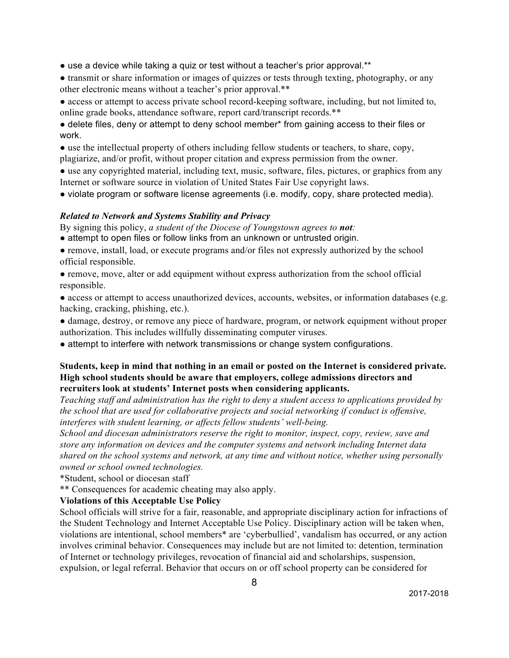- use a device while taking a quiz or test without a teacher's prior approval.\*\*
- transmit or share information or images of quizzes or tests through texting, photography, or any other electronic means without a teacher's prior approval.\*\*
- access or attempt to access private school record-keeping software, including, but not limited to, online grade books, attendance software, report card/transcript records.\*\*
- delete files, deny or attempt to deny school member\* from gaining access to their files or work.
- use the intellectual property of others including fellow students or teachers, to share, copy, plagiarize, and/or profit, without proper citation and express permission from the owner.
- use any copyrighted material, including text, music, software, files, pictures, or graphics from any Internet or software source in violation of United States Fair Use copyright laws.
- violate program or software license agreements (i.e. modify, copy, share protected media).

#### *Related to Network and Systems Stability and Privacy*

By signing this policy, *a student of the Diocese of Youngstown agrees to not:* 

- attempt to open files or follow links from an unknown or untrusted origin.
- remove, install, load, or execute programs and/or files not expressly authorized by the school official responsible.
- remove, move, alter or add equipment without express authorization from the school official responsible.
- access or attempt to access unauthorized devices, accounts, websites, or information databases (e.g. hacking, cracking, phishing, etc.).
- damage, destroy, or remove any piece of hardware, program, or network equipment without proper authorization. This includes willfully disseminating computer viruses.
- attempt to interfere with network transmissions or change system configurations.

#### **Students, keep in mind that nothing in an email or posted on the Internet is considered private. High school students should be aware that employers, college admissions directors and recruiters look at students' Internet posts when considering applicants.**

*Teaching staff and administration has the right to deny a student access to applications provided by the school that are used for collaborative projects and social networking if conduct is offensive, interferes with student learning, or affects fellow students' well-being.* 

*School and diocesan administrators reserve the right to monitor, inspect, copy, review, save and store any information on devices and the computer systems and network including Internet data shared on the school systems and network, at any time and without notice, whether using personally owned or school owned technologies.* 

\*Student, school or diocesan staff

\*\* Consequences for academic cheating may also apply.

#### **Violations of this Acceptable Use Policy**

School officials will strive for a fair, reasonable, and appropriate disciplinary action for infractions of the Student Technology and Internet Acceptable Use Policy. Disciplinary action will be taken when, violations are intentional, school members\* are 'cyberbullied', vandalism has occurred, or any action involves criminal behavior. Consequences may include but are not limited to: detention, termination of Internet or technology privileges, revocation of financial aid and scholarships, suspension, expulsion, or legal referral. Behavior that occurs on or off school property can be considered for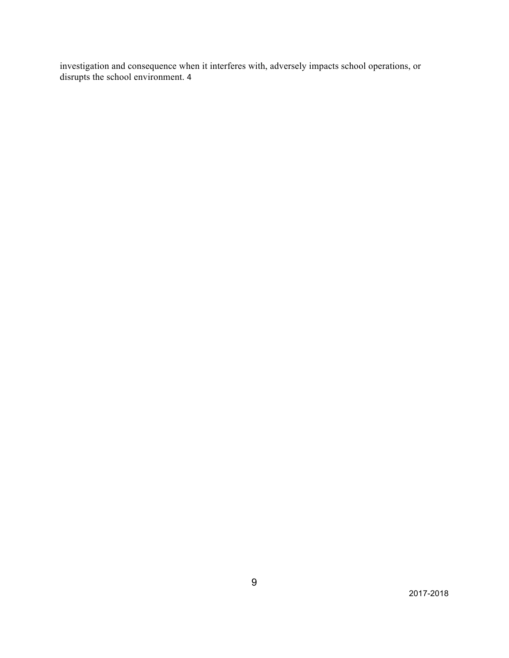investigation and consequence when it interferes with, adversely impacts school operations, or disrupts the school environment. 4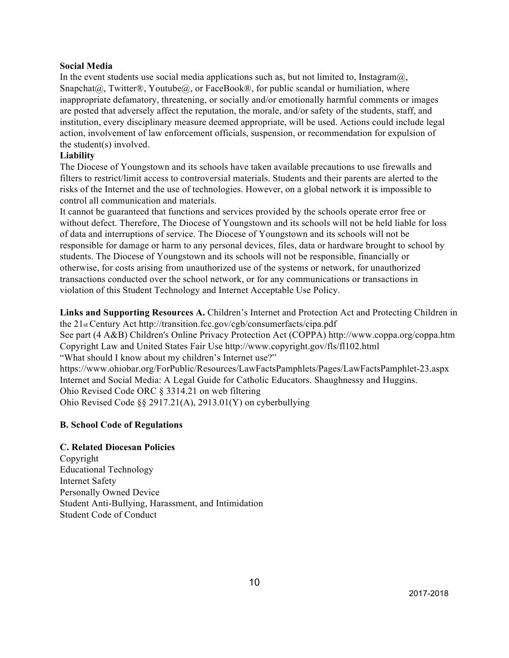#### **Social Media**

In the event students use social media applications such as, but not limited to, Instagram $\omega$ , Snapchat $(\partial_{\alpha})$ , Twitter®, Youtube $(\partial_{\alpha})$ , or FaceBook®, for public scandal or humiliation, where inappropriate defamatory, threatening, or socially and/or emotionally harmful comments or images are posted that adversely affect the reputation, the morale, and/or safety of the students, staff, and institution, every disciplinary measure deemed appropriate, will be used. Actions could include legal action, involvement of law enforcement officials, suspension, or recommendation for expulsion of the student(s) involved.

#### **Liability**

The Diocese of Youngstown and its schools have taken available precautions to use firewalls and filters to restrict/limit access to controversial materials. Students and their parents are alerted to the risks of the Internet and the use of technologies. However, on a global network it is impossible to control all communication and materials.

It cannot be guaranteed that functions and services provided by the schools operate error free or without defect. Therefore, The Diocese of Youngstown and its schools will not be held liable for loss of data and interruptions of service. The Diocese of Youngstown and its schools will not be responsible for damage or harm to any personal devices, files, data or hardware brought to school by students. The Diocese of Youngstown and its schools will not be responsible, financially or otherwise, for costs arising from unauthorized use of the systems or network, for unauthorized transactions conducted over the school network, or for any communications or transactions in violation of this Student Technology and Internet Acceptable Use Policy.

**Links and Supporting Resources A.** Children's Internet and Protection Act and Protecting Children in the 21st Century Act http://transition.fcc.gov/cgb/consumerfacts/cipa.pdf

See part (4 A&B) Children's Online Privacy Protection Act (COPPA) http://www.coppa.org/coppa.htm Copyright Law and United States Fair Use http://www.copyright.gov/fls/fl102.html

"What should I know about my children's Internet use?"

https://www.ohiobar.org/ForPublic/Resources/LawFactsPamphlets/Pages/LawFactsPamphlet-23.aspx Internet and Social Media: A Legal Guide for Catholic Educators. Shaughnessy and Huggins. Ohio Revised Code ORC § 3314.21 on web filtering Ohio Revised Code §§ 2917.21(A), 2913.01(Y) on cyberbullying

#### **B. School Code of Regulations**

#### **C. Related Diocesan Policies**

Copyright Educational Technology Internet Safety Personally Owned Device Student Anti-Bullying, Harassment, and Intimidation Student Code of Conduct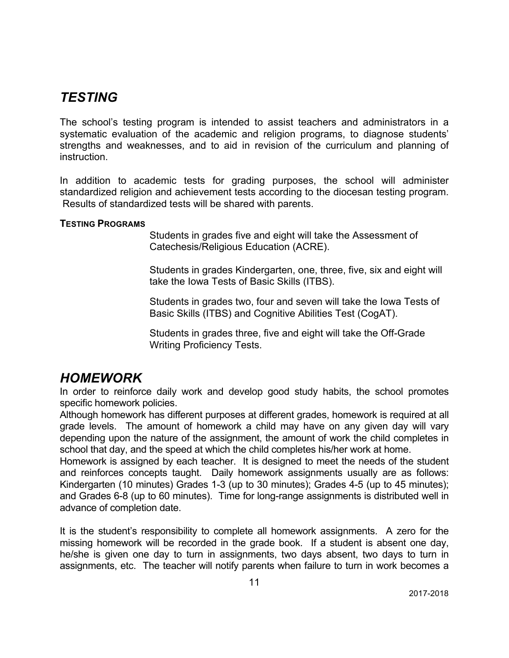### *TESTING*

The school's testing program is intended to assist teachers and administrators in a systematic evaluation of the academic and religion programs, to diagnose students' strengths and weaknesses, and to aid in revision of the curriculum and planning of instruction.

In addition to academic tests for grading purposes, the school will administer standardized religion and achievement tests according to the diocesan testing program. Results of standardized tests will be shared with parents.

#### **TESTING PROGRAMS**

Students in grades five and eight will take the Assessment of Catechesis/Religious Education (ACRE).

Students in grades Kindergarten, one, three, five, six and eight will take the Iowa Tests of Basic Skills (ITBS).

Students in grades two, four and seven will take the Iowa Tests of Basic Skills (ITBS) and Cognitive Abilities Test (CogAT).

Students in grades three, five and eight will take the Off-Grade Writing Proficiency Tests.

### *HOMEWORK*

In order to reinforce daily work and develop good study habits, the school promotes specific homework policies.

Although homework has different purposes at different grades, homework is required at all grade levels. The amount of homework a child may have on any given day will vary depending upon the nature of the assignment, the amount of work the child completes in school that day, and the speed at which the child completes his/her work at home.

Homework is assigned by each teacher. It is designed to meet the needs of the student and reinforces concepts taught. Daily homework assignments usually are as follows: Kindergarten (10 minutes) Grades 1-3 (up to 30 minutes); Grades 4-5 (up to 45 minutes); and Grades 6-8 (up to 60 minutes). Time for long-range assignments is distributed well in advance of completion date.

It is the student's responsibility to complete all homework assignments. A zero for the missing homework will be recorded in the grade book. If a student is absent one day, he/she is given one day to turn in assignments, two days absent, two days to turn in assignments, etc. The teacher will notify parents when failure to turn in work becomes a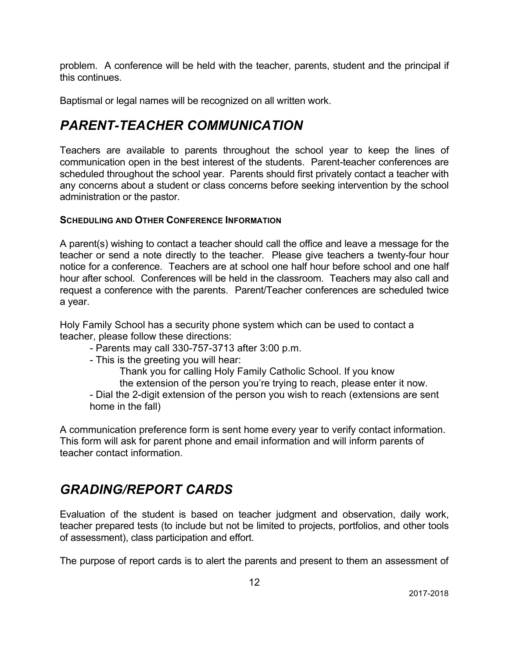problem. A conference will be held with the teacher, parents, student and the principal if this continues.

Baptismal or legal names will be recognized on all written work.

# *PARENT-TEACHER COMMUNICATION*

Teachers are available to parents throughout the school year to keep the lines of communication open in the best interest of the students. Parent-teacher conferences are scheduled throughout the school year. Parents should first privately contact a teacher with any concerns about a student or class concerns before seeking intervention by the school administration or the pastor.

### **SCHEDULING AND OTHER CONFERENCE INFORMATION**

A parent(s) wishing to contact a teacher should call the office and leave a message for the teacher or send a note directly to the teacher. Please give teachers a twenty-four hour notice for a conference. Teachers are at school one half hour before school and one half hour after school. Conferences will be held in the classroom. Teachers may also call and request a conference with the parents. Parent/Teacher conferences are scheduled twice a year.

Holy Family School has a security phone system which can be used to contact a teacher, please follow these directions:

- Parents may call 330-757-3713 after 3:00 p.m.
- This is the greeting you will hear:

Thank you for calling Holy Family Catholic School. If you know the extension of the person you're trying to reach, please enter it now.

- Dial the 2-digit extension of the person you wish to reach (extensions are sent home in the fall)

A communication preference form is sent home every year to verify contact information. This form will ask for parent phone and email information and will inform parents of teacher contact information.

# *GRADING/REPORT CARDS*

Evaluation of the student is based on teacher judgment and observation, daily work, teacher prepared tests (to include but not be limited to projects, portfolios, and other tools of assessment), class participation and effort.

The purpose of report cards is to alert the parents and present to them an assessment of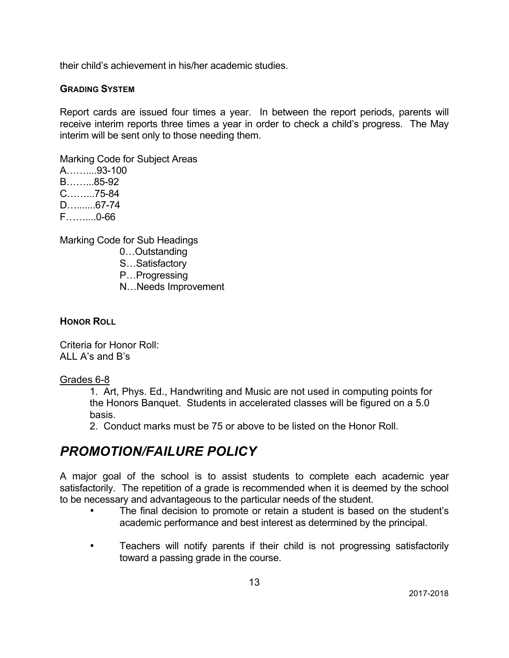their child's achievement in his/her academic studies.

#### **GRADING SYSTEM**

Report cards are issued four times a year. In between the report periods, parents will receive interim reports three times a year in order to check a child's progress. The May interim will be sent only to those needing them.

Marking Code for Subject Areas

A……....93-100 B……...85-92 C……...75-84 D….......67-74 F……....0-66

Marking Code for Sub Headings

- 0…Outstanding
- S…Satisfactory
- P…Progressing
- N…Needs Improvement

#### **HONOR ROLL**

Criteria for Honor Roll: ALL A's and B's

#### Grades 6-8

1. Art, Phys. Ed., Handwriting and Music are not used in computing points for the Honors Banquet. Students in accelerated classes will be figured on a 5.0 basis.

2. Conduct marks must be 75 or above to be listed on the Honor Roll.

### *PROMOTION/FAILURE POLICY*

A major goal of the school is to assist students to complete each academic year satisfactorily. The repetition of a grade is recommended when it is deemed by the school to be necessary and advantageous to the particular needs of the student.

- The final decision to promote or retain a student is based on the student's academic performance and best interest as determined by the principal.
- Teachers will notify parents if their child is not progressing satisfactorily toward a passing grade in the course.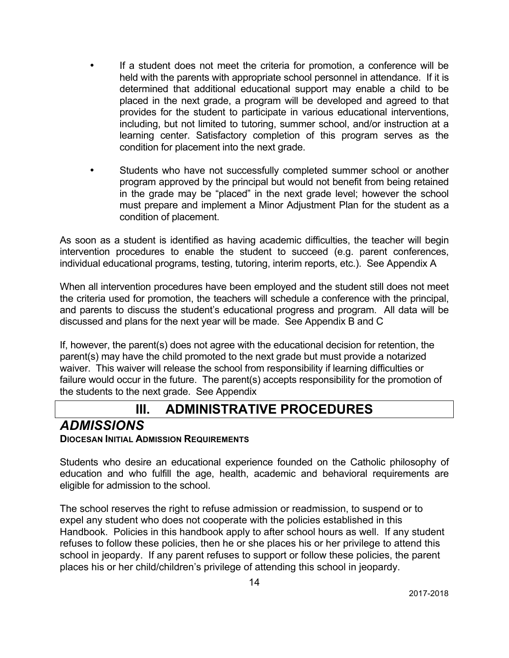- If a student does not meet the criteria for promotion, a conference will be held with the parents with appropriate school personnel in attendance. If it is determined that additional educational support may enable a child to be placed in the next grade, a program will be developed and agreed to that provides for the student to participate in various educational interventions, including, but not limited to tutoring, summer school, and/or instruction at a learning center. Satisfactory completion of this program serves as the condition for placement into the next grade.
- Students who have not successfully completed summer school or another program approved by the principal but would not benefit from being retained in the grade may be "placed" in the next grade level; however the school must prepare and implement a Minor Adjustment Plan for the student as a condition of placement.

As soon as a student is identified as having academic difficulties, the teacher will begin intervention procedures to enable the student to succeed (e.g. parent conferences, individual educational programs, testing, tutoring, interim reports, etc.). See Appendix A

When all intervention procedures have been employed and the student still does not meet the criteria used for promotion, the teachers will schedule a conference with the principal, and parents to discuss the student's educational progress and program. All data will be discussed and plans for the next year will be made. See Appendix B and C

If, however, the parent(s) does not agree with the educational decision for retention, the parent(s) may have the child promoted to the next grade but must provide a notarized waiver. This waiver will release the school from responsibility if learning difficulties or failure would occur in the future. The parent(s) accepts responsibility for the promotion of the students to the next grade. See Appendix

## **III. ADMINISTRATIVE PROCEDURES**

# *ADMISSIONS*

### **DIOCESAN INITIAL ADMISSION REQUIREMENTS**

Students who desire an educational experience founded on the Catholic philosophy of education and who fulfill the age, health, academic and behavioral requirements are eligible for admission to the school.

The school reserves the right to refuse admission or readmission, to suspend or to expel any student who does not cooperate with the policies established in this Handbook. Policies in this handbook apply to after school hours as well. If any student refuses to follow these policies, then he or she places his or her privilege to attend this school in jeopardy. If any parent refuses to support or follow these policies, the parent places his or her child/children's privilege of attending this school in jeopardy.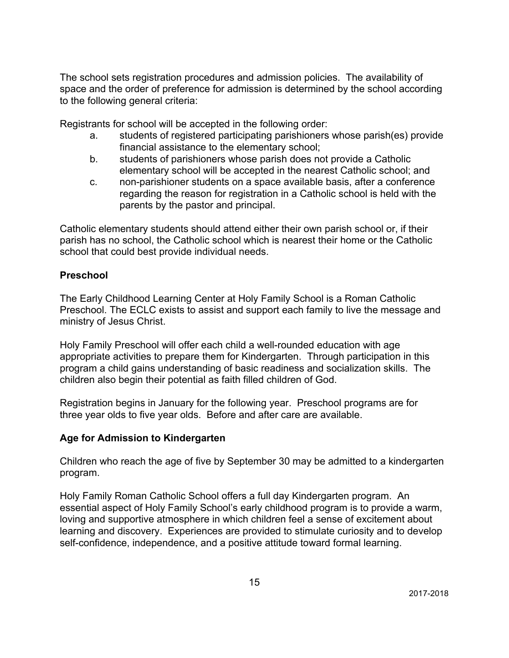The school sets registration procedures and admission policies. The availability of space and the order of preference for admission is determined by the school according to the following general criteria:

Registrants for school will be accepted in the following order:

- a. students of registered participating parishioners whose parish(es) provide financial assistance to the elementary school;
- b. students of parishioners whose parish does not provide a Catholic elementary school will be accepted in the nearest Catholic school; and
- c. non-parishioner students on a space available basis, after a conference regarding the reason for registration in a Catholic school is held with the parents by the pastor and principal.

Catholic elementary students should attend either their own parish school or, if their parish has no school, the Catholic school which is nearest their home or the Catholic school that could best provide individual needs.

#### **Preschool**

The Early Childhood Learning Center at Holy Family School is a Roman Catholic Preschool. The ECLC exists to assist and support each family to live the message and ministry of Jesus Christ.

Holy Family Preschool will offer each child a well-rounded education with age appropriate activities to prepare them for Kindergarten. Through participation in this program a child gains understanding of basic readiness and socialization skills. The children also begin their potential as faith filled children of God.

Registration begins in January for the following year. Preschool programs are for three year olds to five year olds. Before and after care are available.

### **Age for Admission to Kindergarten**

Children who reach the age of five by September 30 may be admitted to a kindergarten program.

Holy Family Roman Catholic School offers a full day Kindergarten program. An essential aspect of Holy Family School's early childhood program is to provide a warm, loving and supportive atmosphere in which children feel a sense of excitement about learning and discovery. Experiences are provided to stimulate curiosity and to develop self-confidence, independence, and a positive attitude toward formal learning.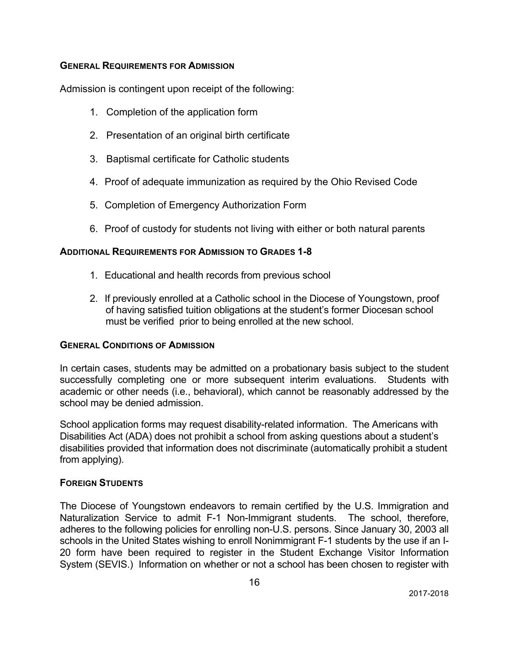#### **GENERAL REQUIREMENTS FOR ADMISSION**

Admission is contingent upon receipt of the following:

- 1. Completion of the application form
- 2. Presentation of an original birth certificate
- 3. Baptismal certificate for Catholic students
- 4. Proof of adequate immunization as required by the Ohio Revised Code
- 5. Completion of Emergency Authorization Form
- 6. Proof of custody for students not living with either or both natural parents

#### **ADDITIONAL REQUIREMENTS FOR ADMISSION TO GRADES 1-8**

- 1. Educational and health records from previous school
- 2. If previously enrolled at a Catholic school in the Diocese of Youngstown, proof of having satisfied tuition obligations at the student's former Diocesan school must be verified prior to being enrolled at the new school.

#### **GENERAL CONDITIONS OF ADMISSION**

In certain cases, students may be admitted on a probationary basis subject to the student successfully completing one or more subsequent interim evaluations. Students with academic or other needs (i.e., behavioral), which cannot be reasonably addressed by the school may be denied admission.

School application forms may request disability-related information. The Americans with Disabilities Act (ADA) does not prohibit a school from asking questions about a student's disabilities provided that information does not discriminate (automatically prohibit a student from applying).

#### **FOREIGN STUDENTS**

The Diocese of Youngstown endeavors to remain certified by the U.S. Immigration and Naturalization Service to admit F-1 Non-Immigrant students. The school, therefore, adheres to the following policies for enrolling non-U.S. persons. Since January 30, 2003 all schools in the United States wishing to enroll Nonimmigrant F-1 students by the use if an I-20 form have been required to register in the Student Exchange Visitor Information System (SEVIS.) Information on whether or not a school has been chosen to register with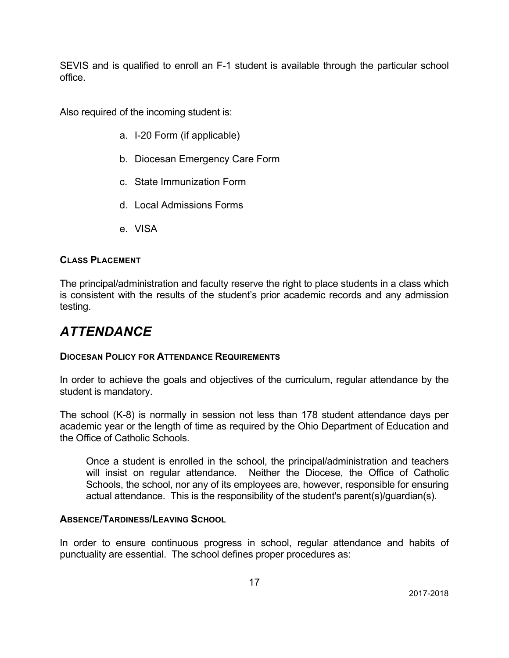SEVIS and is qualified to enroll an F-1 student is available through the particular school office.

Also required of the incoming student is:

- a. I-20 Form (if applicable)
- b. Diocesan Emergency Care Form
- c. State Immunization Form
- d. Local Admissions Forms
- e. VISA

#### **CLASS PLACEMENT**

The principal/administration and faculty reserve the right to place students in a class which is consistent with the results of the student's prior academic records and any admission testing.

### *ATTENDANCE*

#### **DIOCESAN POLICY FOR ATTENDANCE REQUIREMENTS**

In order to achieve the goals and objectives of the curriculum, regular attendance by the student is mandatory.

The school (K-8) is normally in session not less than 178 student attendance days per academic year or the length of time as required by the Ohio Department of Education and the Office of Catholic Schools.

Once a student is enrolled in the school, the principal/administration and teachers will insist on regular attendance. Neither the Diocese, the Office of Catholic Schools, the school, nor any of its employees are, however, responsible for ensuring actual attendance. This is the responsibility of the student's parent(s)/guardian(s).

#### **ABSENCE/TARDINESS/LEAVING SCHOOL**

In order to ensure continuous progress in school, regular attendance and habits of punctuality are essential. The school defines proper procedures as: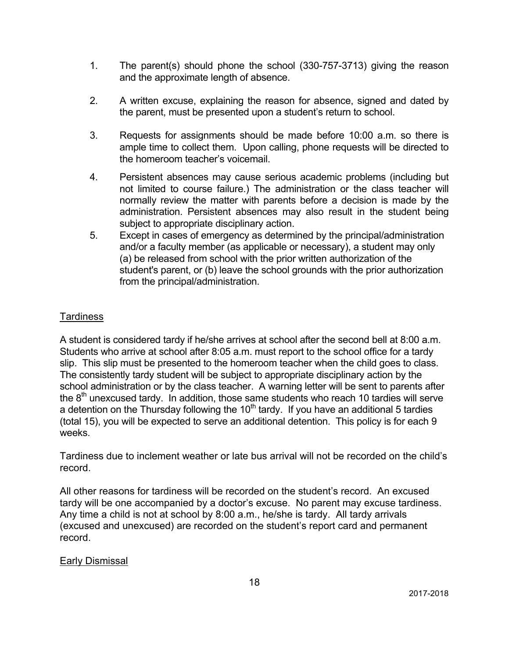- 1. The parent(s) should phone the school (330-757-3713) giving the reason and the approximate length of absence.
- 2. A written excuse, explaining the reason for absence, signed and dated by the parent, must be presented upon a student's return to school.
- 3. Requests for assignments should be made before 10:00 a.m. so there is ample time to collect them. Upon calling, phone requests will be directed to the homeroom teacher's voicemail.
- 4. Persistent absences may cause serious academic problems (including but not limited to course failure.) The administration or the class teacher will normally review the matter with parents before a decision is made by the administration. Persistent absences may also result in the student being subject to appropriate disciplinary action.
- 5. Except in cases of emergency as determined by the principal/administration and/or a faculty member (as applicable or necessary), a student may only (a) be released from school with the prior written authorization of the student's parent, or (b) leave the school grounds with the prior authorization from the principal/administration.

### Tardiness

A student is considered tardy if he/she arrives at school after the second bell at 8:00 a.m. Students who arrive at school after 8:05 a.m. must report to the school office for a tardy slip. This slip must be presented to the homeroom teacher when the child goes to class. The consistently tardy student will be subject to appropriate disciplinary action by the school administration or by the class teacher. A warning letter will be sent to parents after the  $8<sup>th</sup>$  unexcused tardy. In addition, those same students who reach 10 tardies will serve a detention on the Thursday following the  $10<sup>th</sup>$  tardy. If you have an additional 5 tardies (total 15), you will be expected to serve an additional detention. This policy is for each 9 weeks.

Tardiness due to inclement weather or late bus arrival will not be recorded on the child's record.

All other reasons for tardiness will be recorded on the student's record. An excused tardy will be one accompanied by a doctor's excuse. No parent may excuse tardiness. Any time a child is not at school by 8:00 a.m., he/she is tardy. All tardy arrivals (excused and unexcused) are recorded on the student's report card and permanent record.

Early Dismissal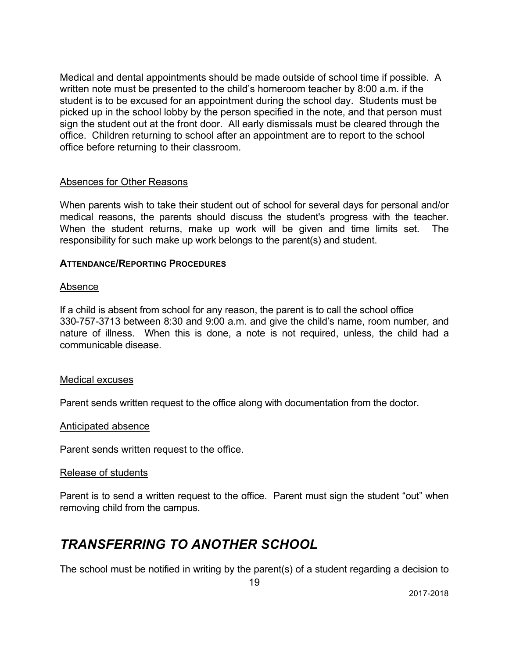Medical and dental appointments should be made outside of school time if possible. A written note must be presented to the child's homeroom teacher by 8:00 a.m. if the student is to be excused for an appointment during the school day. Students must be picked up in the school lobby by the person specified in the note, and that person must sign the student out at the front door. All early dismissals must be cleared through the office. Children returning to school after an appointment are to report to the school office before returning to their classroom.

#### Absences for Other Reasons

When parents wish to take their student out of school for several days for personal and/or medical reasons, the parents should discuss the student's progress with the teacher. When the student returns, make up work will be given and time limits set. The responsibility for such make up work belongs to the parent(s) and student.

#### **ATTENDANCE/REPORTING PROCEDURES**

#### Absence

If a child is absent from school for any reason, the parent is to call the school office 330-757-3713 between 8:30 and 9:00 a.m. and give the child's name, room number, and nature of illness. When this is done, a note is not required, unless, the child had a communicable disease.

#### Medical excuses

Parent sends written request to the office along with documentation from the doctor.

#### Anticipated absence

Parent sends written request to the office.

#### Release of students

Parent is to send a written request to the office. Parent must sign the student "out" when removing child from the campus.

### *TRANSFERRING TO ANOTHER SCHOOL*

The school must be notified in writing by the parent(s) of a student regarding a decision to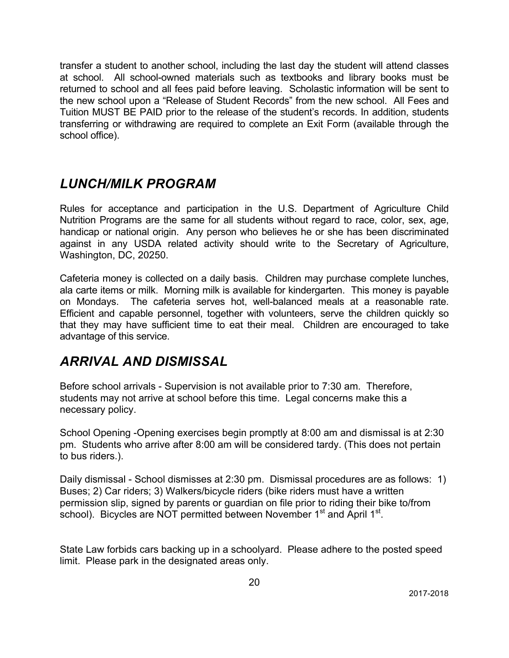transfer a student to another school, including the last day the student will attend classes at school. All school-owned materials such as textbooks and library books must be returned to school and all fees paid before leaving. Scholastic information will be sent to the new school upon a "Release of Student Records" from the new school. All Fees and Tuition MUST BE PAID prior to the release of the student's records. In addition, students transferring or withdrawing are required to complete an Exit Form (available through the school office).

## *LUNCH/MILK PROGRAM*

Rules for acceptance and participation in the U.S. Department of Agriculture Child Nutrition Programs are the same for all students without regard to race, color, sex, age, handicap or national origin. Any person who believes he or she has been discriminated against in any USDA related activity should write to the Secretary of Agriculture, Washington, DC, 20250.

Cafeteria money is collected on a daily basis. Children may purchase complete lunches, ala carte items or milk. Morning milk is available for kindergarten. This money is payable on Mondays. The cafeteria serves hot, well-balanced meals at a reasonable rate. Efficient and capable personnel, together with volunteers, serve the children quickly so that they may have sufficient time to eat their meal. Children are encouraged to take advantage of this service.

## *ARRIVAL AND DISMISSAL*

Before school arrivals - Supervision is not available prior to 7:30 am. Therefore, students may not arrive at school before this time. Legal concerns make this a necessary policy.

School Opening -Opening exercises begin promptly at 8:00 am and dismissal is at 2:30 pm. Students who arrive after 8:00 am will be considered tardy. (This does not pertain to bus riders.).

Daily dismissal - School dismisses at 2:30 pm. Dismissal procedures are as follows: 1) Buses; 2) Car riders; 3) Walkers/bicycle riders (bike riders must have a written permission slip, signed by parents or guardian on file prior to riding their bike to/from school). Bicycles are NOT permitted between November  $1<sup>st</sup>$  and April  $1<sup>st</sup>$ .

State Law forbids cars backing up in a schoolyard. Please adhere to the posted speed limit. Please park in the designated areas only.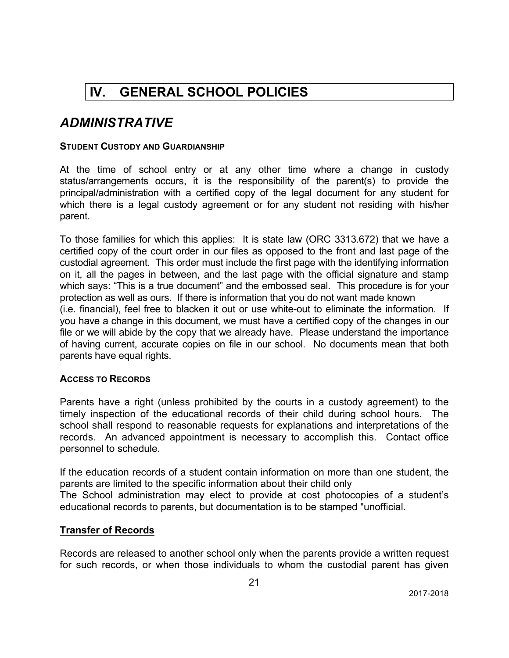# **IV. GENERAL SCHOOL POLICIES**

### *ADMINISTRATIVE*

#### **STUDENT CUSTODY AND GUARDIANSHIP**

At the time of school entry or at any other time where a change in custody status/arrangements occurs, it is the responsibility of the parent(s) to provide the principal/administration with a certified copy of the legal document for any student for which there is a legal custody agreement or for any student not residing with his/her parent.

To those families for which this applies: It is state law (ORC 3313.672) that we have a certified copy of the court order in our files as opposed to the front and last page of the custodial agreement. This order must include the first page with the identifying information on it, all the pages in between, and the last page with the official signature and stamp which says: "This is a true document" and the embossed seal. This procedure is for your protection as well as ours. If there is information that you do not want made known (i.e. financial), feel free to blacken it out or use white-out to eliminate the information. If you have a change in this document, we must have a certified copy of the changes in our file or we will abide by the copy that we already have. Please understand the importance of having current, accurate copies on file in our school. No documents mean that both parents have equal rights.

#### **ACCESS TO RECORDS**

Parents have a right (unless prohibited by the courts in a custody agreement) to the timely inspection of the educational records of their child during school hours. The school shall respond to reasonable requests for explanations and interpretations of the records. An advanced appointment is necessary to accomplish this. Contact office personnel to schedule.

If the education records of a student contain information on more than one student, the parents are limited to the specific information about their child only The School administration may elect to provide at cost photocopies of a student's educational records to parents, but documentation is to be stamped "unofficial.

#### **Transfer of Records**

Records are released to another school only when the parents provide a written request for such records, or when those individuals to whom the custodial parent has given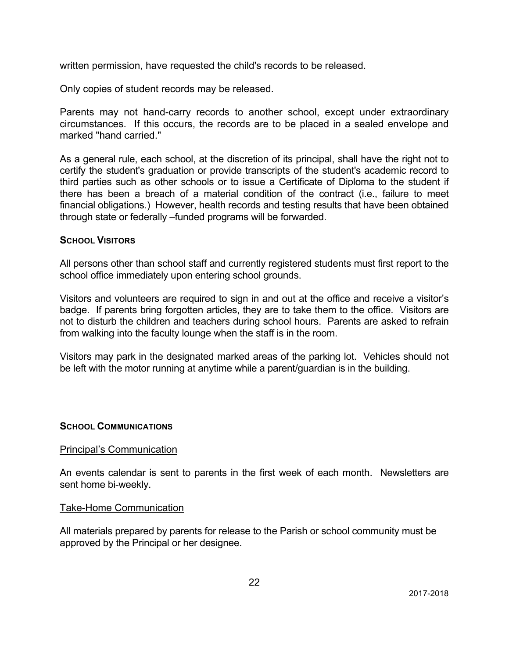written permission, have requested the child's records to be released.

Only copies of student records may be released.

Parents may not hand-carry records to another school, except under extraordinary circumstances. If this occurs, the records are to be placed in a sealed envelope and marked "hand carried."

As a general rule, each school, at the discretion of its principal, shall have the right not to certify the student's graduation or provide transcripts of the student's academic record to third parties such as other schools or to issue a Certificate of Diploma to the student if there has been a breach of a material condition of the contract (i.e., failure to meet financial obligations.) However, health records and testing results that have been obtained through state or federally –funded programs will be forwarded.

#### **SCHOOL VISITORS**

All persons other than school staff and currently registered students must first report to the school office immediately upon entering school grounds.

Visitors and volunteers are required to sign in and out at the office and receive a visitor's badge. If parents bring forgotten articles, they are to take them to the office. Visitors are not to disturb the children and teachers during school hours. Parents are asked to refrain from walking into the faculty lounge when the staff is in the room.

Visitors may park in the designated marked areas of the parking lot. Vehicles should not be left with the motor running at anytime while a parent/guardian is in the building.

#### **SCHOOL COMMUNICATIONS**

#### Principal's Communication

An events calendar is sent to parents in the first week of each month. Newsletters are sent home bi-weekly.

#### Take-Home Communication

All materials prepared by parents for release to the Parish or school community must be approved by the Principal or her designee.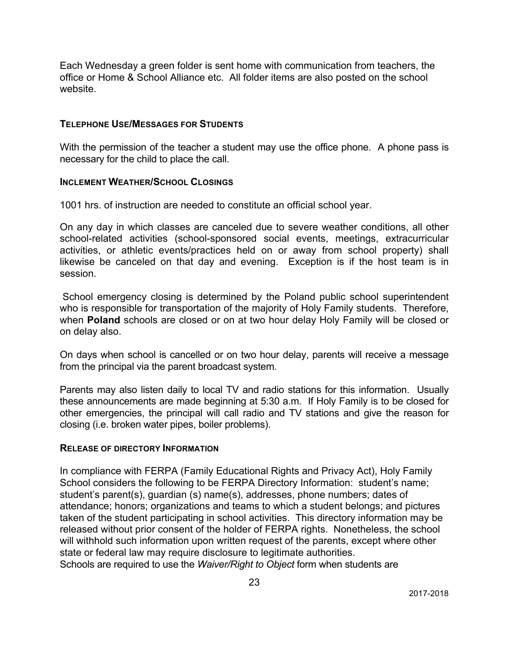Each Wednesday a green folder is sent home with communication from teachers, the office or Home & School Alliance etc. All folder items are also posted on the school website.

#### **TELEPHONE USE/MESSAGES FOR STUDENTS**

With the permission of the teacher a student may use the office phone. A phone pass is necessary for the child to place the call.

#### **INCLEMENT WEATHER/SCHOOL CLOSINGS**

1001 hrs. of instruction are needed to constitute an official school year.

On any day in which classes are canceled due to severe weather conditions, all other school-related activities (school-sponsored social events, meetings, extracurricular activities, or athletic events/practices held on or away from school property) shall likewise be canceled on that day and evening. Exception is if the host team is in session.

School emergency closing is determined by the Poland public school superintendent who is responsible for transportation of the majority of Holy Family students. Therefore, when **Poland** schools are closed or on at two hour delay Holy Family will be closed or on delay also.

On days when school is cancelled or on two hour delay, parents will receive a message from the principal via the parent broadcast system.

Parents may also listen daily to local TV and radio stations for this information. Usually these announcements are made beginning at 5:30 a.m. If Holy Family is to be closed for other emergencies, the principal will call radio and TV stations and give the reason for closing (i.e. broken water pipes, boiler problems).

### **RELEASE OF DIRECTORY INFORMATION**

In compliance with FERPA (Family Educational Rights and Privacy Act), Holy Family School considers the following to be FERPA Directory Information: student's name; student's parent(s), guardian (s) name(s), addresses, phone numbers; dates of attendance; honors; organizations and teams to which a student belongs; and pictures taken of the student participating in school activities. This directory information may be released without prior consent of the holder of FERPA rights. Nonetheless, the school will withhold such information upon written request of the parents, except where other state or federal law may require disclosure to legitimate authorities. Schools are required to use the *Waiver/Right to Object* form when students are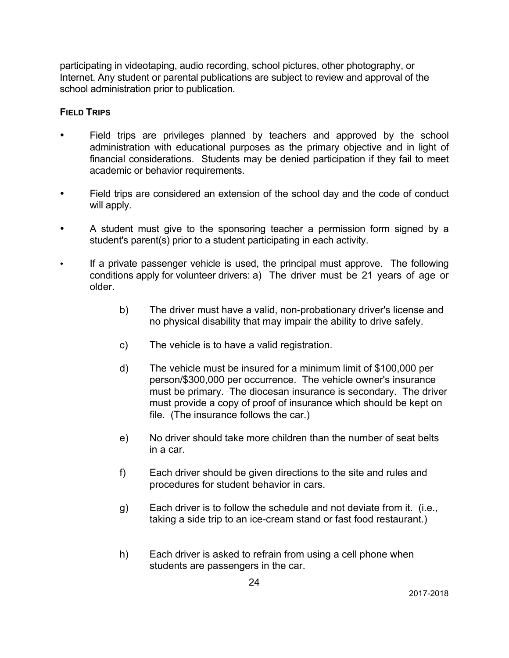participating in videotaping, audio recording, school pictures, other photography, or Internet. Any student or parental publications are subject to review and approval of the school administration prior to publication.

#### **FIELD TRIPS**

- Field trips are privileges planned by teachers and approved by the school administration with educational purposes as the primary objective and in light of financial considerations. Students may be denied participation if they fail to meet academic or behavior requirements.
- Field trips are considered an extension of the school day and the code of conduct will apply.
- A student must give to the sponsoring teacher a permission form signed by a student's parent(s) prior to a student participating in each activity.
- If a private passenger vehicle is used, the principal must approve. The following conditions apply for volunteer drivers: a) The driver must be 21 years of age or older.
	- b) The driver must have a valid, non-probationary driver's license and no physical disability that may impair the ability to drive safely.
	- c) The vehicle is to have a valid registration.
	- d) The vehicle must be insured for a minimum limit of \$100,000 per person/\$300,000 per occurrence. The vehicle owner's insurance must be primary. The diocesan insurance is secondary. The driver must provide a copy of proof of insurance which should be kept on file. (The insurance follows the car.)
	- e) No driver should take more children than the number of seat belts in a car.
	- f) Each driver should be given directions to the site and rules and procedures for student behavior in cars.
	- g) Each driver is to follow the schedule and not deviate from it. (i.e., taking a side trip to an ice-cream stand or fast food restaurant.)
	- h) Each driver is asked to refrain from using a cell phone when students are passengers in the car.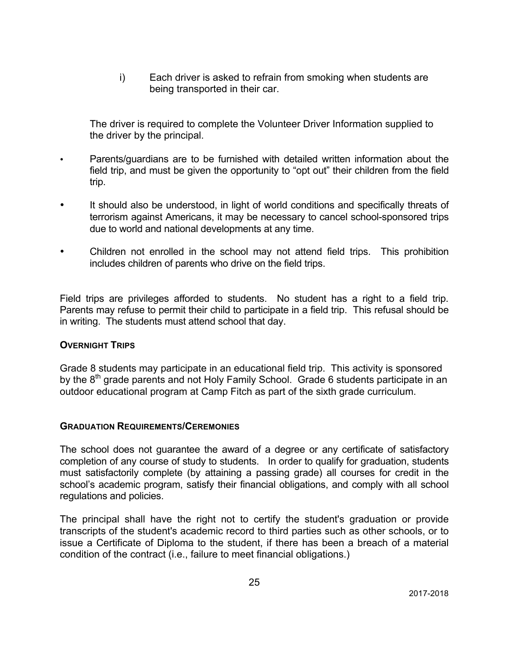i) Each driver is asked to refrain from smoking when students are being transported in their car.

The driver is required to complete the Volunteer Driver Information supplied to the driver by the principal.

- Parents/guardians are to be furnished with detailed written information about the field trip, and must be given the opportunity to "opt out" their children from the field trip.
- It should also be understood, in light of world conditions and specifically threats of terrorism against Americans, it may be necessary to cancel school-sponsored trips due to world and national developments at any time.
- Children not enrolled in the school may not attend field trips. This prohibition includes children of parents who drive on the field trips.

Field trips are privileges afforded to students. No student has a right to a field trip. Parents may refuse to permit their child to participate in a field trip. This refusal should be in writing. The students must attend school that day.

#### **OVERNIGHT TRIPS**

Grade 8 students may participate in an educational field trip. This activity is sponsored by the 8<sup>th</sup> grade parents and not Holy Family School. Grade 6 students participate in an outdoor educational program at Camp Fitch as part of the sixth grade curriculum.

#### **GRADUATION REQUIREMENTS/CEREMONIES**

The school does not guarantee the award of a degree or any certificate of satisfactory completion of any course of study to students. In order to qualify for graduation, students must satisfactorily complete (by attaining a passing grade) all courses for credit in the school's academic program, satisfy their financial obligations, and comply with all school regulations and policies.

The principal shall have the right not to certify the student's graduation or provide transcripts of the student's academic record to third parties such as other schools, or to issue a Certificate of Diploma to the student, if there has been a breach of a material condition of the contract (i.e., failure to meet financial obligations.)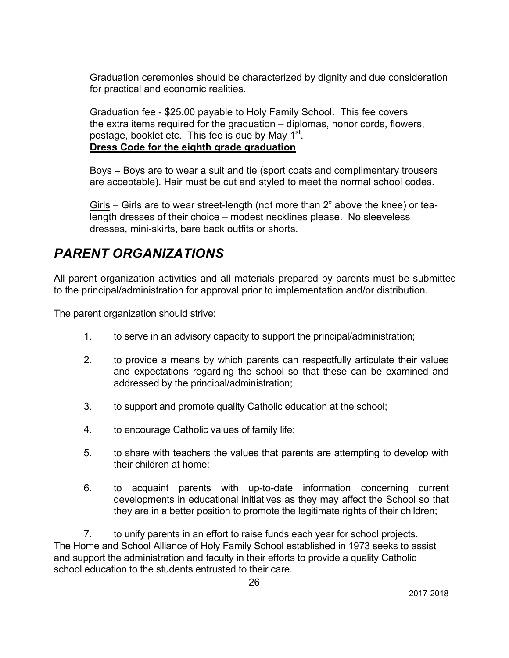Graduation ceremonies should be characterized by dignity and due consideration for practical and economic realities.

Graduation fee - \$25.00 payable to Holy Family School. This fee covers the extra items required for the graduation – diplomas, honor cords, flowers, postage, booklet etc. This fee is due by May  $1<sup>st</sup>$ . **Dress Code for the eighth grade graduation**

Boys – Boys are to wear a suit and tie (sport coats and complimentary trousers are acceptable). Hair must be cut and styled to meet the normal school codes.

Girls – Girls are to wear street-length (not more than 2" above the knee) or tealength dresses of their choice – modest necklines please. No sleeveless dresses, mini-skirts, bare back outfits or shorts.

# *PARENT ORGANIZATIONS*

All parent organization activities and all materials prepared by parents must be submitted to the principal/administration for approval prior to implementation and/or distribution.

The parent organization should strive:

- 1. to serve in an advisory capacity to support the principal/administration;
- 2. to provide a means by which parents can respectfully articulate their values and expectations regarding the school so that these can be examined and addressed by the principal/administration;
- 3. to support and promote quality Catholic education at the school;
- 4. to encourage Catholic values of family life;
- 5. to share with teachers the values that parents are attempting to develop with their children at home;
- 6. to acquaint parents with up-to-date information concerning current developments in educational initiatives as they may affect the School so that they are in a better position to promote the legitimate rights of their children;

7. to unify parents in an effort to raise funds each year for school projects. The Home and School Alliance of Holy Family School established in 1973 seeks to assist and support the administration and faculty in their efforts to provide a quality Catholic school education to the students entrusted to their care.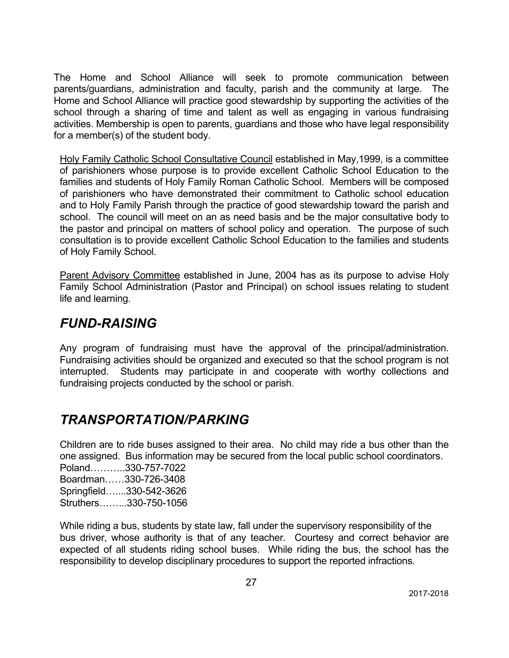The Home and School Alliance will seek to promote communication between parents/guardians, administration and faculty, parish and the community at large. The Home and School Alliance will practice good stewardship by supporting the activities of the school through a sharing of time and talent as well as engaging in various fundraising activities. Membership is open to parents, guardians and those who have legal responsibility for a member(s) of the student body.

Holy Family Catholic School Consultative Council established in May,1999, is a committee of parishioners whose purpose is to provide excellent Catholic School Education to the families and students of Holy Family Roman Catholic School. Members will be composed of parishioners who have demonstrated their commitment to Catholic school education and to Holy Family Parish through the practice of good stewardship toward the parish and school. The council will meet on an as need basis and be the major consultative body to the pastor and principal on matters of school policy and operation. The purpose of such consultation is to provide excellent Catholic School Education to the families and students of Holy Family School.

Parent Advisory Committee established in June, 2004 has as its purpose to advise Holy Family School Administration (Pastor and Principal) on school issues relating to student life and learning.

## *FUND-RAISING*

Any program of fundraising must have the approval of the principal/administration. Fundraising activities should be organized and executed so that the school program is not interrupted. Students may participate in and cooperate with worthy collections and fundraising projects conducted by the school or parish.

## *TRANSPORTATION/PARKING*

Children are to ride buses assigned to their area. No child may ride a bus other than the one assigned. Bus information may be secured from the local public school coordinators. Poland………..330-757-7022 Boardman……330-726-3408 Springfield…....330-542-3626 Struthers……...330-750-1056

While riding a bus, students by state law, fall under the supervisory responsibility of the bus driver, whose authority is that of any teacher. Courtesy and correct behavior are expected of all students riding school buses. While riding the bus, the school has the responsibility to develop disciplinary procedures to support the reported infractions.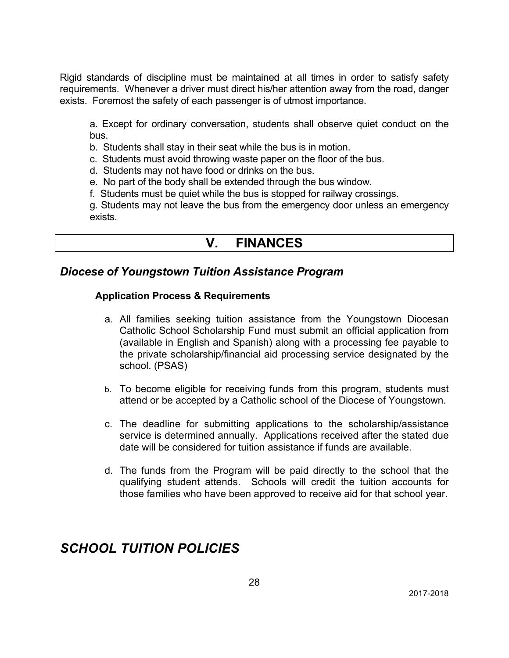Rigid standards of discipline must be maintained at all times in order to satisfy safety requirements. Whenever a driver must direct his/her attention away from the road, danger exists. Foremost the safety of each passenger is of utmost importance.

a. Except for ordinary conversation, students shall observe quiet conduct on the bus.

- b. Students shall stay in their seat while the bus is in motion.
- c. Students must avoid throwing waste paper on the floor of the bus.
- d. Students may not have food or drinks on the bus.
- e. No part of the body shall be extended through the bus window.
- f. Students must be quiet while the bus is stopped for railway crossings.

g. Students may not leave the bus from the emergency door unless an emergency exists.

### **V. FINANCES**

### *Diocese of Youngstown Tuition Assistance Program*

#### **Application Process & Requirements**

- a. All families seeking tuition assistance from the Youngstown Diocesan Catholic School Scholarship Fund must submit an official application from (available in English and Spanish) along with a processing fee payable to the private scholarship/financial aid processing service designated by the school. (PSAS)
- b. To become eligible for receiving funds from this program, students must attend or be accepted by a Catholic school of the Diocese of Youngstown.
- c. The deadline for submitting applications to the scholarship/assistance service is determined annually. Applications received after the stated due date will be considered for tuition assistance if funds are available.
- d. The funds from the Program will be paid directly to the school that the qualifying student attends. Schools will credit the tuition accounts for those families who have been approved to receive aid for that school year.

### *SCHOOL TUITION POLICIES*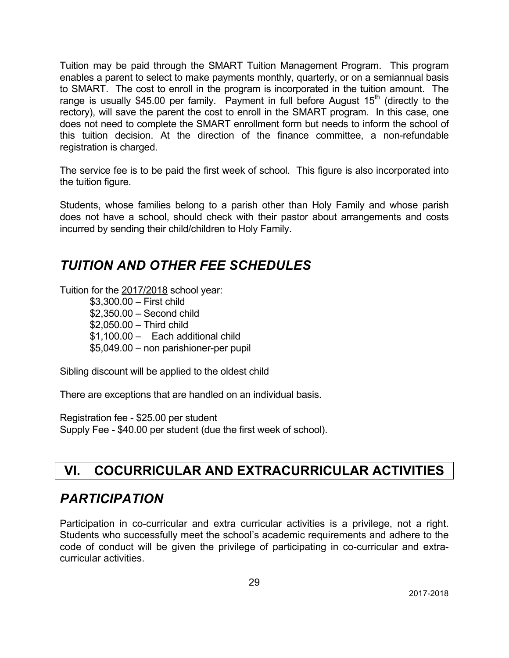Tuition may be paid through the SMART Tuition Management Program. This program enables a parent to select to make payments monthly, quarterly, or on a semiannual basis to SMART. The cost to enroll in the program is incorporated in the tuition amount. The range is usually \$45.00 per family. Payment in full before August  $15<sup>th</sup>$  (directly to the rectory), will save the parent the cost to enroll in the SMART program. In this case, one does not need to complete the SMART enrollment form but needs to inform the school of this tuition decision. At the direction of the finance committee, a non-refundable registration is charged.

The service fee is to be paid the first week of school. This figure is also incorporated into the tuition figure.

Students, whose families belong to a parish other than Holy Family and whose parish does not have a school, should check with their pastor about arrangements and costs incurred by sending their child/children to Holy Family.

## *TUITION AND OTHER FEE SCHEDULES*

Tuition for the 2017/2018 school year:

\$3,300.00 – First child \$2,350.00 – Second child \$2,050.00 – Third child \$1,100.00 – Each additional child \$5,049.00 – non parishioner-per pupil

Sibling discount will be applied to the oldest child

There are exceptions that are handled on an individual basis.

Registration fee - \$25.00 per student Supply Fee - \$40.00 per student (due the first week of school).

## **VI. COCURRICULAR AND EXTRACURRICULAR ACTIVITIES**

## *PARTICIPATION*

Participation in co-curricular and extra curricular activities is a privilege, not a right. Students who successfully meet the school's academic requirements and adhere to the code of conduct will be given the privilege of participating in co-curricular and extracurricular activities.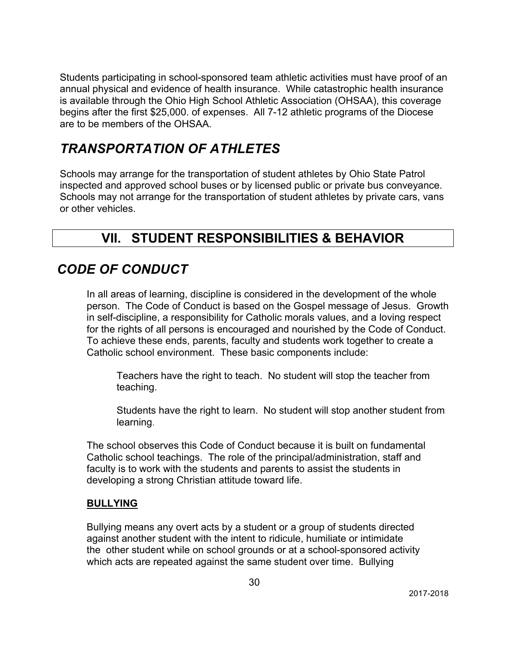Students participating in school-sponsored team athletic activities must have proof of an annual physical and evidence of health insurance. While catastrophic health insurance is available through the Ohio High School Athletic Association (OHSAA), this coverage begins after the first \$25,000. of expenses. All 7-12 athletic programs of the Diocese are to be members of the OHSAA.

# *TRANSPORTATION OF ATHLETES*

Schools may arrange for the transportation of student athletes by Ohio State Patrol inspected and approved school buses or by licensed public or private bus conveyance. Schools may not arrange for the transportation of student athletes by private cars, vans or other vehicles.

# **VII. STUDENT RESPONSIBILITIES & BEHAVIOR**

# *CODE OF CONDUCT*

In all areas of learning, discipline is considered in the development of the whole person. The Code of Conduct is based on the Gospel message of Jesus. Growth in self-discipline, a responsibility for Catholic morals values, and a loving respect for the rights of all persons is encouraged and nourished by the Code of Conduct. To achieve these ends, parents, faculty and students work together to create a Catholic school environment. These basic components include:

Teachers have the right to teach. No student will stop the teacher from teaching.

Students have the right to learn. No student will stop another student from learning.

The school observes this Code of Conduct because it is built on fundamental Catholic school teachings. The role of the principal/administration, staff and faculty is to work with the students and parents to assist the students in developing a strong Christian attitude toward life.

### **BULLYING**

Bullying means any overt acts by a student or a group of students directed against another student with the intent to ridicule, humiliate or intimidate the other student while on school grounds or at a school-sponsored activity which acts are repeated against the same student over time. Bullying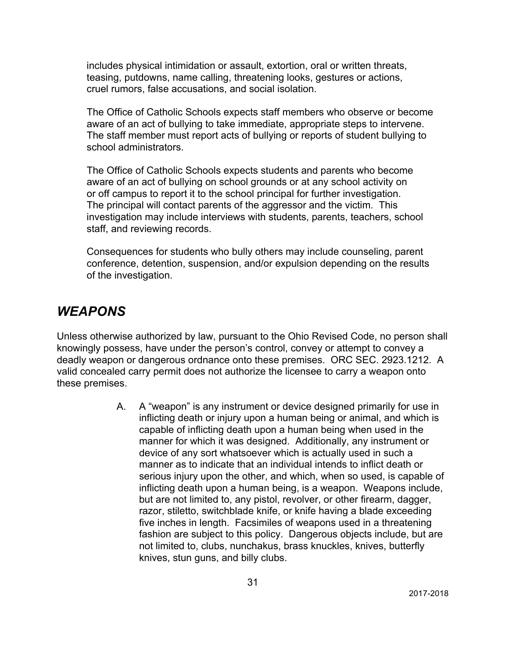includes physical intimidation or assault, extortion, oral or written threats, teasing, putdowns, name calling, threatening looks, gestures or actions, cruel rumors, false accusations, and social isolation.

The Office of Catholic Schools expects staff members who observe or become aware of an act of bullying to take immediate, appropriate steps to intervene. The staff member must report acts of bullying or reports of student bullying to school administrators.

The Office of Catholic Schools expects students and parents who become aware of an act of bullying on school grounds or at any school activity on or off campus to report it to the school principal for further investigation. The principal will contact parents of the aggressor and the victim. This investigation may include interviews with students, parents, teachers, school staff, and reviewing records.

Consequences for students who bully others may include counseling, parent conference, detention, suspension, and/or expulsion depending on the results of the investigation.

### *WEAPONS*

Unless otherwise authorized by law, pursuant to the Ohio Revised Code, no person shall knowingly possess, have under the person's control, convey or attempt to convey a deadly weapon or dangerous ordnance onto these premises. ORC SEC. 2923.1212. A valid concealed carry permit does not authorize the licensee to carry a weapon onto these premises.

> A. A "weapon" is any instrument or device designed primarily for use in inflicting death or injury upon a human being or animal, and which is capable of inflicting death upon a human being when used in the manner for which it was designed. Additionally, any instrument or device of any sort whatsoever which is actually used in such a manner as to indicate that an individual intends to inflict death or serious injury upon the other, and which, when so used, is capable of inflicting death upon a human being, is a weapon. Weapons include, but are not limited to, any pistol, revolver, or other firearm, dagger, razor, stiletto, switchblade knife, or knife having a blade exceeding five inches in length. Facsimiles of weapons used in a threatening fashion are subject to this policy. Dangerous objects include, but are not limited to, clubs, nunchakus, brass knuckles, knives, butterfly knives, stun guns, and billy clubs.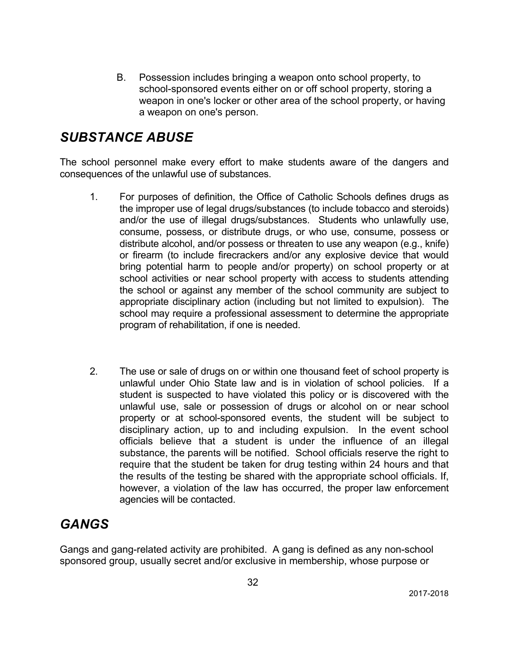B. Possession includes bringing a weapon onto school property, to school-sponsored events either on or off school property, storing a weapon in one's locker or other area of the school property, or having a weapon on one's person.

## *SUBSTANCE ABUSE*

The school personnel make every effort to make students aware of the dangers and consequences of the unlawful use of substances.

- 1. For purposes of definition, the Office of Catholic Schools defines drugs as the improper use of legal drugs/substances (to include tobacco and steroids) and/or the use of illegal drugs/substances. Students who unlawfully use, consume, possess, or distribute drugs, or who use, consume, possess or distribute alcohol, and/or possess or threaten to use any weapon (e.g., knife) or firearm (to include firecrackers and/or any explosive device that would bring potential harm to people and/or property) on school property or at school activities or near school property with access to students attending the school or against any member of the school community are subject to appropriate disciplinary action (including but not limited to expulsion). The school may require a professional assessment to determine the appropriate program of rehabilitation, if one is needed.
- 2. The use or sale of drugs on or within one thousand feet of school property is unlawful under Ohio State law and is in violation of school policies. If a student is suspected to have violated this policy or is discovered with the unlawful use, sale or possession of drugs or alcohol on or near school property or at school-sponsored events, the student will be subject to disciplinary action, up to and including expulsion. In the event school officials believe that a student is under the influence of an illegal substance, the parents will be notified. School officials reserve the right to require that the student be taken for drug testing within 24 hours and that the results of the testing be shared with the appropriate school officials. If, however, a violation of the law has occurred, the proper law enforcement agencies will be contacted.

# *GANGS*

Gangs and gang-related activity are prohibited. A gang is defined as any non-school sponsored group, usually secret and/or exclusive in membership, whose purpose or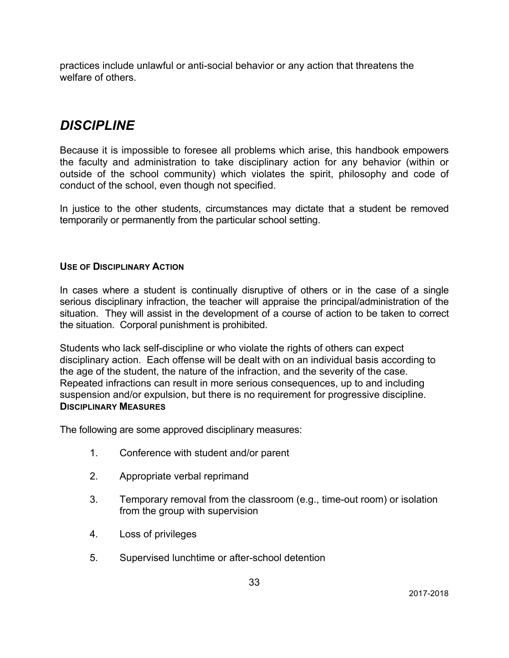practices include unlawful or anti-social behavior or any action that threatens the welfare of others.

## *DISCIPLINE*

Because it is impossible to foresee all problems which arise, this handbook empowers the faculty and administration to take disciplinary action for any behavior (within or outside of the school community) which violates the spirit, philosophy and code of conduct of the school, even though not specified.

In justice to the other students, circumstances may dictate that a student be removed temporarily or permanently from the particular school setting.

### **USE OF DISCIPLINARY ACTION**

In cases where a student is continually disruptive of others or in the case of a single serious disciplinary infraction, the teacher will appraise the principal/administration of the situation. They will assist in the development of a course of action to be taken to correct the situation. Corporal punishment is prohibited.

Students who lack self-discipline or who violate the rights of others can expect disciplinary action. Each offense will be dealt with on an individual basis according to the age of the student, the nature of the infraction, and the severity of the case. Repeated infractions can result in more serious consequences, up to and including suspension and/or expulsion, but there is no requirement for progressive discipline. **DISCIPLINARY MEASURES**

The following are some approved disciplinary measures:

- 1. Conference with student and/or parent
- 2. Appropriate verbal reprimand
- 3. Temporary removal from the classroom (e.g., time-out room) or isolation from the group with supervision
- 4. Loss of privileges
- 5. Supervised lunchtime or after-school detention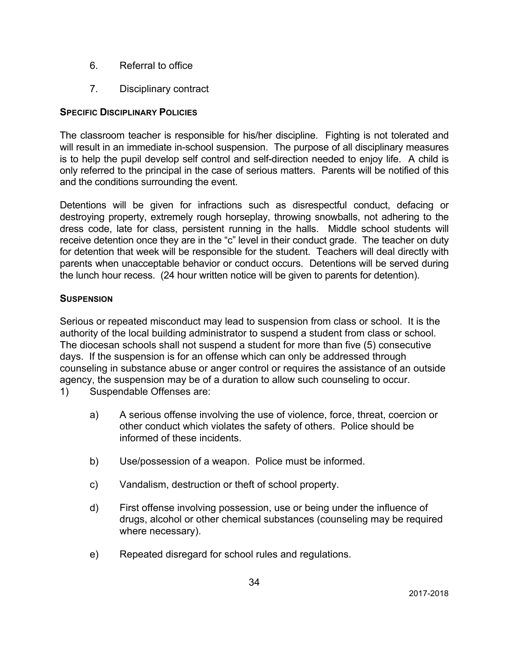- 6. Referral to office
- 7. Disciplinary contract

### **SPECIFIC DISCIPLINARY POLICIES**

The classroom teacher is responsible for his/her discipline. Fighting is not tolerated and will result in an immediate in-school suspension. The purpose of all disciplinary measures is to help the pupil develop self control and self-direction needed to enjoy life. A child is only referred to the principal in the case of serious matters. Parents will be notified of this and the conditions surrounding the event.

Detentions will be given for infractions such as disrespectful conduct, defacing or destroying property, extremely rough horseplay, throwing snowballs, not adhering to the dress code, late for class, persistent running in the halls. Middle school students will receive detention once they are in the "c" level in their conduct grade. The teacher on duty for detention that week will be responsible for the student. Teachers will deal directly with parents when unacceptable behavior or conduct occurs. Detentions will be served during the lunch hour recess. (24 hour written notice will be given to parents for detention).

### **SUSPENSION**

Serious or repeated misconduct may lead to suspension from class or school. It is the authority of the local building administrator to suspend a student from class or school. The diocesan schools shall not suspend a student for more than five (5) consecutive days. If the suspension is for an offense which can only be addressed through counseling in substance abuse or anger control or requires the assistance of an outside agency, the suspension may be of a duration to allow such counseling to occur.

- 1) Suspendable Offenses are:
	- a) A serious offense involving the use of violence, force, threat, coercion or other conduct which violates the safety of others. Police should be informed of these incidents.
	- b) Use/possession of a weapon. Police must be informed.
	- c) Vandalism, destruction or theft of school property.
	- d) First offense involving possession, use or being under the influence of drugs, alcohol or other chemical substances (counseling may be required where necessary).
	- e) Repeated disregard for school rules and regulations.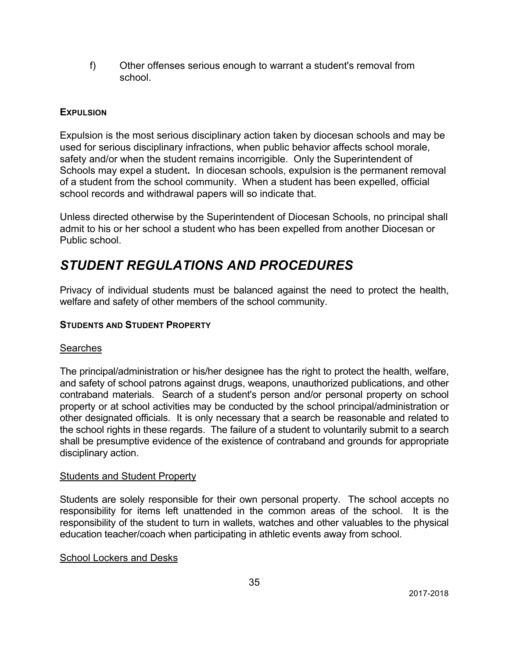f) Other offenses serious enough to warrant a student's removal from school.

### **EXPULSION**

Expulsion is the most serious disciplinary action taken by diocesan schools and may be used for serious disciplinary infractions, when public behavior affects school morale, safety and/or when the student remains incorrigible. Only the Superintendent of Schools may expel a student**.** In diocesan schools, expulsion is the permanent removal of a student from the school community. When a student has been expelled, official school records and withdrawal papers will so indicate that.

Unless directed otherwise by the Superintendent of Diocesan Schools, no principal shall admit to his or her school a student who has been expelled from another Diocesan or Public school.

## *STUDENT REGULATIONS AND PROCEDURES*

Privacy of individual students must be balanced against the need to protect the health, welfare and safety of other members of the school community.

### **STUDENTS AND STUDENT PROPERTY**

#### **Searches**

The principal/administration or his/her designee has the right to protect the health, welfare, and safety of school patrons against drugs, weapons, unauthorized publications, and other contraband materials. Search of a student's person and/or personal property on school property or at school activities may be conducted by the school principal/administration or other designated officials. It is only necessary that a search be reasonable and related to the school rights in these regards. The failure of a student to voluntarily submit to a search shall be presumptive evidence of the existence of contraband and grounds for appropriate disciplinary action.

#### **Students and Student Property**

Students are solely responsible for their own personal property. The school accepts no responsibility for items left unattended in the common areas of the school. It is the responsibility of the student to turn in wallets, watches and other valuables to the physical education teacher/coach when participating in athletic events away from school.

#### School Lockers and Desks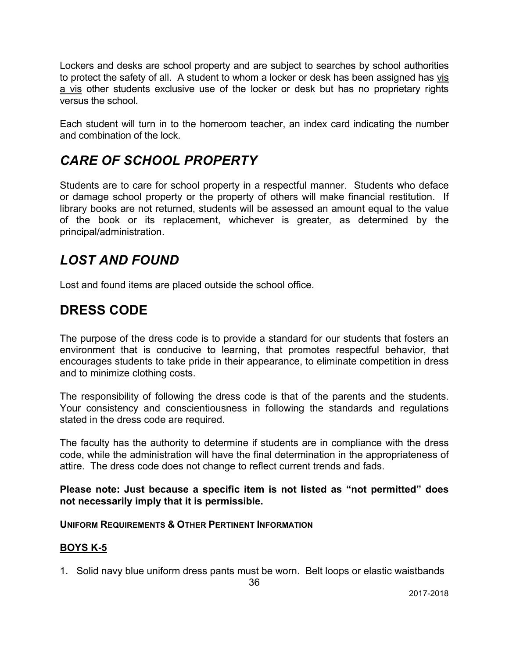Lockers and desks are school property and are subject to searches by school authorities to protect the safety of all. A student to whom a locker or desk has been assigned has vis a vis other students exclusive use of the locker or desk but has no proprietary rights versus the school.

Each student will turn in to the homeroom teacher, an index card indicating the number and combination of the lock.

# *CARE OF SCHOOL PROPERTY*

Students are to care for school property in a respectful manner. Students who deface or damage school property or the property of others will make financial restitution. If library books are not returned, students will be assessed an amount equal to the value of the book or its replacement, whichever is greater, as determined by the principal/administration.

## *LOST AND FOUND*

Lost and found items are placed outside the school office.

### **DRESS CODE**

The purpose of the dress code is to provide a standard for our students that fosters an environment that is conducive to learning, that promotes respectful behavior, that encourages students to take pride in their appearance, to eliminate competition in dress and to minimize clothing costs.

The responsibility of following the dress code is that of the parents and the students. Your consistency and conscientiousness in following the standards and regulations stated in the dress code are required.

The faculty has the authority to determine if students are in compliance with the dress code, while the administration will have the final determination in the appropriateness of attire. The dress code does not change to reflect current trends and fads.

**Please note: Just because a specific item is not listed as "not permitted" does not necessarily imply that it is permissible.**

#### **UNIFORM REQUIREMENTS & OTHER PERTINENT INFORMATION**

### **BOYS K-5**

1. Solid navy blue uniform dress pants must be worn. Belt loops or elastic waistbands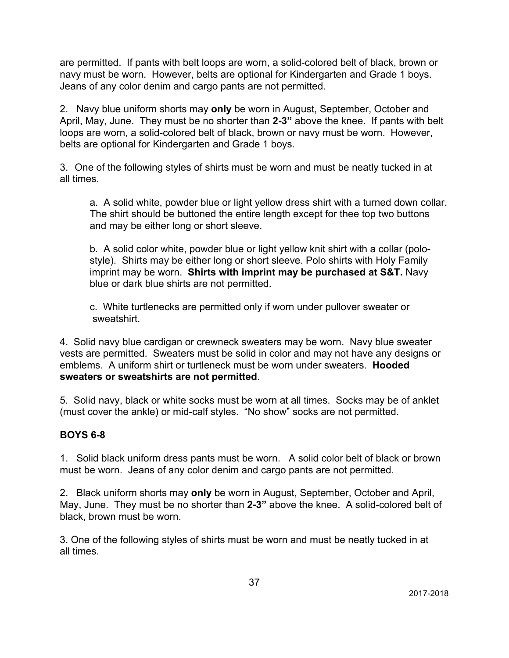are permitted. If pants with belt loops are worn, a solid-colored belt of black, brown or navy must be worn. However, belts are optional for Kindergarten and Grade 1 boys. Jeans of any color denim and cargo pants are not permitted.

2. Navy blue uniform shorts may **only** be worn in August, September, October and April, May, June. They must be no shorter than **2-3"** above the knee. If pants with belt loops are worn, a solid-colored belt of black, brown or navy must be worn. However, belts are optional for Kindergarten and Grade 1 boys.

3. One of the following styles of shirts must be worn and must be neatly tucked in at all times.

a. A solid white, powder blue or light yellow dress shirt with a turned down collar. The shirt should be buttoned the entire length except for thee top two buttons and may be either long or short sleeve.

b. A solid color white, powder blue or light yellow knit shirt with a collar (polostyle). Shirts may be either long or short sleeve. Polo shirts with Holy Family imprint may be worn. **Shirts with imprint may be purchased at S&T.** Navy blue or dark blue shirts are not permitted.

c. White turtlenecks are permitted only if worn under pullover sweater or sweatshirt.

4. Solid navy blue cardigan or crewneck sweaters may be worn. Navy blue sweater vests are permitted. Sweaters must be solid in color and may not have any designs or emblems. A uniform shirt or turtleneck must be worn under sweaters. **Hooded sweaters or sweatshirts are not permitted**.

5. Solid navy, black or white socks must be worn at all times. Socks may be of anklet (must cover the ankle) or mid-calf styles. "No show" socks are not permitted.

### **BOYS 6-8**

1. Solid black uniform dress pants must be worn. A solid color belt of black or brown must be worn. Jeans of any color denim and cargo pants are not permitted.

2. Black uniform shorts may **only** be worn in August, September, October and April, May, June. They must be no shorter than **2-3"** above the knee. A solid-colored belt of black, brown must be worn.

3. One of the following styles of shirts must be worn and must be neatly tucked in at all times.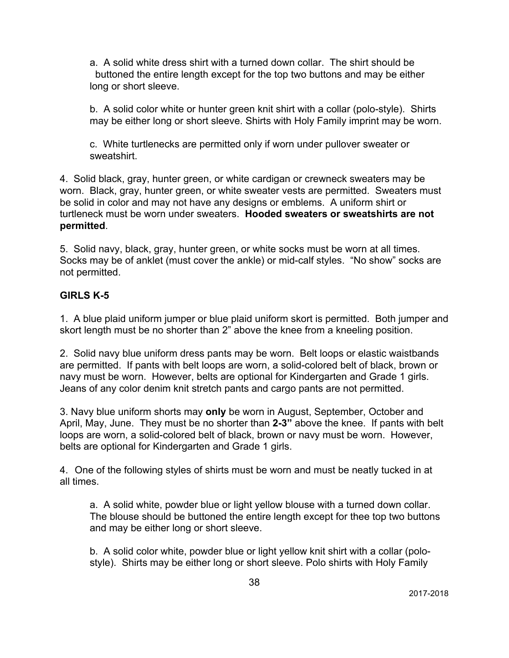a. A solid white dress shirt with a turned down collar. The shirt should be buttoned the entire length except for the top two buttons and may be either long or short sleeve.

b. A solid color white or hunter green knit shirt with a collar (polo-style). Shirts may be either long or short sleeve. Shirts with Holy Family imprint may be worn.

c. White turtlenecks are permitted only if worn under pullover sweater or sweatshirt.

4. Solid black, gray, hunter green, or white cardigan or crewneck sweaters may be worn. Black, gray, hunter green, or white sweater vests are permitted. Sweaters must be solid in color and may not have any designs or emblems. A uniform shirt or turtleneck must be worn under sweaters. **Hooded sweaters or sweatshirts are not permitted**.

5. Solid navy, black, gray, hunter green, or white socks must be worn at all times. Socks may be of anklet (must cover the ankle) or mid-calf styles. "No show" socks are not permitted.

### **GIRLS K-5**

1. A blue plaid uniform jumper or blue plaid uniform skort is permitted. Both jumper and skort length must be no shorter than 2" above the knee from a kneeling position.

2. Solid navy blue uniform dress pants may be worn. Belt loops or elastic waistbands are permitted. If pants with belt loops are worn, a solid-colored belt of black, brown or navy must be worn. However, belts are optional for Kindergarten and Grade 1 girls. Jeans of any color denim knit stretch pants and cargo pants are not permitted.

3. Navy blue uniform shorts may **only** be worn in August, September, October and April, May, June. They must be no shorter than **2-3"** above the knee. If pants with belt loops are worn, a solid-colored belt of black, brown or navy must be worn. However, belts are optional for Kindergarten and Grade 1 girls.

4. One of the following styles of shirts must be worn and must be neatly tucked in at all times.

a. A solid white, powder blue or light yellow blouse with a turned down collar. The blouse should be buttoned the entire length except for thee top two buttons and may be either long or short sleeve.

b. A solid color white, powder blue or light yellow knit shirt with a collar (polostyle). Shirts may be either long or short sleeve. Polo shirts with Holy Family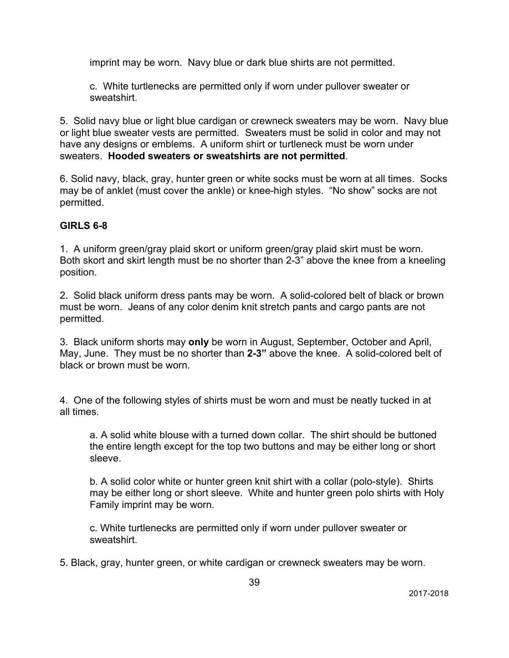imprint may be worn. Navy blue or dark blue shirts are not permitted.

c. White turtlenecks are permitted only if worn under pullover sweater or sweatshirt.

5. Solid navy blue or light blue cardigan or crewneck sweaters may be worn. Navy blue or light blue sweater vests are permitted. Sweaters must be solid in color and may not have any designs or emblems. A uniform shirt or turtleneck must be worn under sweaters. **Hooded sweaters or sweatshirts are not permitted**.

6. Solid navy, black, gray, hunter green or white socks must be worn at all times. Socks may be of anklet (must cover the ankle) or knee-high styles. "No show" socks are not permitted.

### **GIRLS 6-8**

1. A uniform green/gray plaid skort or uniform green/gray plaid skirt must be worn. Both skort and skirt length must be no shorter than 2-3" above the knee from a kneeling position.

2. Solid black uniform dress pants may be worn. A solid-colored belt of black or brown must be worn. Jeans of any color denim knit stretch pants and cargo pants are not permitted.

3. Black uniform shorts may **only** be worn in August, September, October and April, May, June. They must be no shorter than **2-3"** above the knee. A solid-colored belt of black or brown must be worn.

4. One of the following styles of shirts must be worn and must be neatly tucked in at all times.

a. A solid white blouse with a turned down collar. The shirt should be buttoned the entire length except for the top two buttons and may be either long or short sleeve.

b. A solid color white or hunter green knit shirt with a collar (polo-style). Shirts may be either long or short sleeve. White and hunter green polo shirts with Holy Family imprint may be worn.

c. White turtlenecks are permitted only if worn under pullover sweater or sweatshirt.

5. Black, gray, hunter green, or white cardigan or crewneck sweaters may be worn.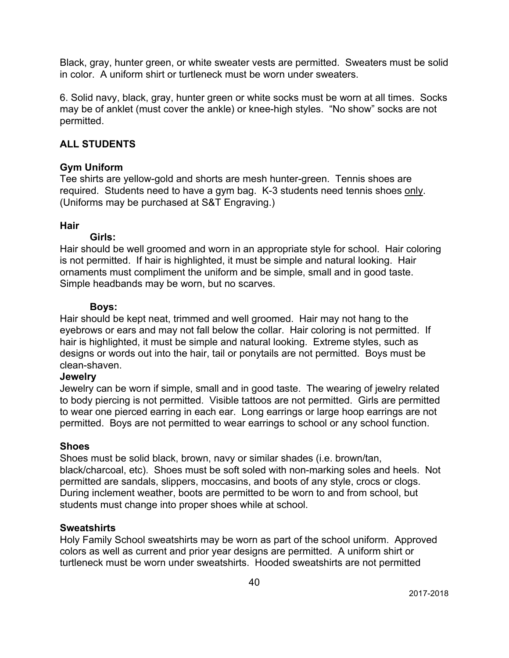Black, gray, hunter green, or white sweater vests are permitted. Sweaters must be solid in color. A uniform shirt or turtleneck must be worn under sweaters.

6. Solid navy, black, gray, hunter green or white socks must be worn at all times. Socks may be of anklet (must cover the ankle) or knee-high styles. "No show" socks are not permitted.

### **ALL STUDENTS**

#### **Gym Uniform**

Tee shirts are yellow-gold and shorts are mesh hunter-green. Tennis shoes are required. Students need to have a gym bag. K-3 students need tennis shoes only. (Uniforms may be purchased at S&T Engraving.)

### **Hair**

#### **Girls:**

Hair should be well groomed and worn in an appropriate style for school. Hair coloring is not permitted. If hair is highlighted, it must be simple and natural looking. Hair ornaments must compliment the uniform and be simple, small and in good taste. Simple headbands may be worn, but no scarves.

#### **Boys:**

Hair should be kept neat, trimmed and well groomed. Hair may not hang to the eyebrows or ears and may not fall below the collar. Hair coloring is not permitted. If hair is highlighted, it must be simple and natural looking. Extreme styles, such as designs or words out into the hair, tail or ponytails are not permitted. Boys must be clean-shaven.

#### **Jewelry**

Jewelry can be worn if simple, small and in good taste. The wearing of jewelry related to body piercing is not permitted. Visible tattoos are not permitted. Girls are permitted to wear one pierced earring in each ear. Long earrings or large hoop earrings are not permitted. Boys are not permitted to wear earrings to school or any school function.

#### **Shoes**

Shoes must be solid black, brown, navy or similar shades (i.e. brown/tan, black/charcoal, etc). Shoes must be soft soled with non-marking soles and heels. Not permitted are sandals, slippers, moccasins, and boots of any style, crocs or clogs. During inclement weather, boots are permitted to be worn to and from school, but students must change into proper shoes while at school.

#### **Sweatshirts**

Holy Family School sweatshirts may be worn as part of the school uniform. Approved colors as well as current and prior year designs are permitted. A uniform shirt or turtleneck must be worn under sweatshirts. Hooded sweatshirts are not permitted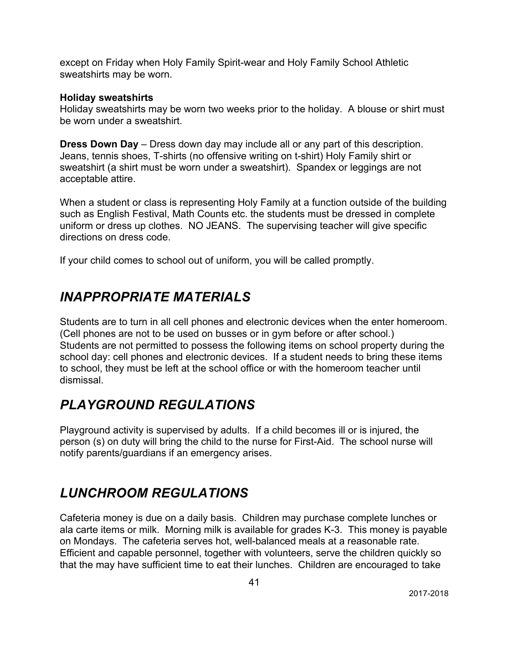except on Friday when Holy Family Spirit-wear and Holy Family School Athletic sweatshirts may be worn.

#### **Holiday sweatshirts**

Holiday sweatshirts may be worn two weeks prior to the holiday. A blouse or shirt must be worn under a sweatshirt.

**Dress Down Day** – Dress down day may include all or any part of this description. Jeans, tennis shoes, T-shirts (no offensive writing on t-shirt) Holy Family shirt or sweatshirt (a shirt must be worn under a sweatshirt). Spandex or leggings are not acceptable attire.

When a student or class is representing Holy Family at a function outside of the building such as English Festival, Math Counts etc. the students must be dressed in complete uniform or dress up clothes. NO JEANS. The supervising teacher will give specific directions on dress code.

If your child comes to school out of uniform, you will be called promptly.

# *INAPPROPRIATE MATERIALS*

Students are to turn in all cell phones and electronic devices when the enter homeroom. (Cell phones are not to be used on busses or in gym before or after school.) Students are not permitted to possess the following items on school property during the school day: cell phones and electronic devices. If a student needs to bring these items to school, they must be left at the school office or with the homeroom teacher until dismissal.

## *PLAYGROUND REGULATIONS*

Playground activity is supervised by adults. If a child becomes ill or is injured, the person (s) on duty will bring the child to the nurse for First-Aid. The school nurse will notify parents/guardians if an emergency arises.

## *LUNCHROOM REGULATIONS*

Cafeteria money is due on a daily basis. Children may purchase complete lunches or ala carte items or milk. Morning milk is available for grades K-3. This money is payable on Mondays. The cafeteria serves hot, well-balanced meals at a reasonable rate. Efficient and capable personnel, together with volunteers, serve the children quickly so that the may have sufficient time to eat their lunches. Children are encouraged to take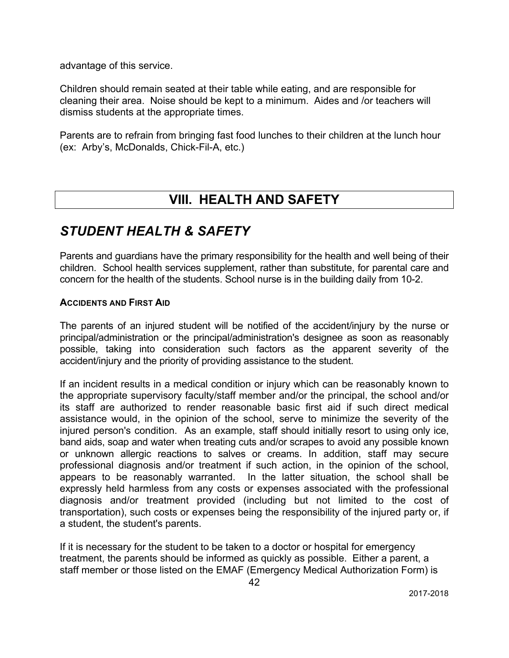advantage of this service.

Children should remain seated at their table while eating, and are responsible for cleaning their area. Noise should be kept to a minimum. Aides and /or teachers will dismiss students at the appropriate times.

Parents are to refrain from bringing fast food lunches to their children at the lunch hour (ex: Arby's, McDonalds, Chick-Fil-A, etc.)

## **VIII. HEALTH AND SAFETY**

## *STUDENT HEALTH & SAFETY*

Parents and guardians have the primary responsibility for the health and well being of their children. School health services supplement, rather than substitute, for parental care and concern for the health of the students. School nurse is in the building daily from 10-2.

#### **ACCIDENTS AND FIRST AID**

The parents of an injured student will be notified of the accident/injury by the nurse or principal/administration or the principal/administration's designee as soon as reasonably possible, taking into consideration such factors as the apparent severity of the accident/injury and the priority of providing assistance to the student.

If an incident results in a medical condition or injury which can be reasonably known to the appropriate supervisory faculty/staff member and/or the principal, the school and/or its staff are authorized to render reasonable basic first aid if such direct medical assistance would, in the opinion of the school, serve to minimize the severity of the injured person's condition. As an example, staff should initially resort to using only ice, band aids, soap and water when treating cuts and/or scrapes to avoid any possible known or unknown allergic reactions to salves or creams. In addition, staff may secure professional diagnosis and/or treatment if such action, in the opinion of the school, appears to be reasonably warranted. In the latter situation, the school shall be expressly held harmless from any costs or expenses associated with the professional diagnosis and/or treatment provided (including but not limited to the cost of transportation), such costs or expenses being the responsibility of the injured party or, if a student, the student's parents.

If it is necessary for the student to be taken to a doctor or hospital for emergency treatment, the parents should be informed as quickly as possible. Either a parent, a staff member or those listed on the EMAF (Emergency Medical Authorization Form) is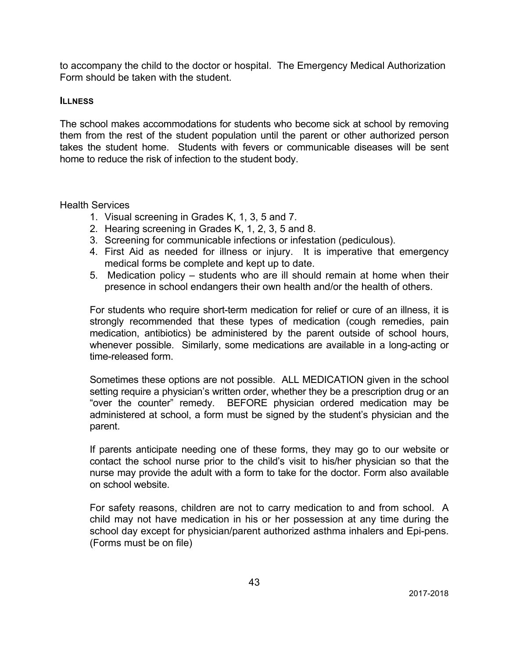to accompany the child to the doctor or hospital. The Emergency Medical Authorization Form should be taken with the student.

#### **ILLNESS**

The school makes accommodations for students who become sick at school by removing them from the rest of the student population until the parent or other authorized person takes the student home. Students with fevers or communicable diseases will be sent home to reduce the risk of infection to the student body.

#### Health Services

- 1. Visual screening in Grades K, 1, 3, 5 and 7.
- 2. Hearing screening in Grades K, 1, 2, 3, 5 and 8.
- 3. Screening for communicable infections or infestation (pediculous).
- 4. First Aid as needed for illness or injury. It is imperative that emergency medical forms be complete and kept up to date.
- 5. Medication policy students who are ill should remain at home when their presence in school endangers their own health and/or the health of others.

For students who require short-term medication for relief or cure of an illness, it is strongly recommended that these types of medication (cough remedies, pain medication, antibiotics) be administered by the parent outside of school hours, whenever possible. Similarly, some medications are available in a long-acting or time-released form.

Sometimes these options are not possible. ALL MEDICATION given in the school setting require a physician's written order, whether they be a prescription drug or an "over the counter" remedy. BEFORE physician ordered medication may be administered at school, a form must be signed by the student's physician and the parent.

If parents anticipate needing one of these forms, they may go to our website or contact the school nurse prior to the child's visit to his/her physician so that the nurse may provide the adult with a form to take for the doctor. Form also available on school website.

For safety reasons, children are not to carry medication to and from school. A child may not have medication in his or her possession at any time during the school day except for physician/parent authorized asthma inhalers and Epi-pens. (Forms must be on file)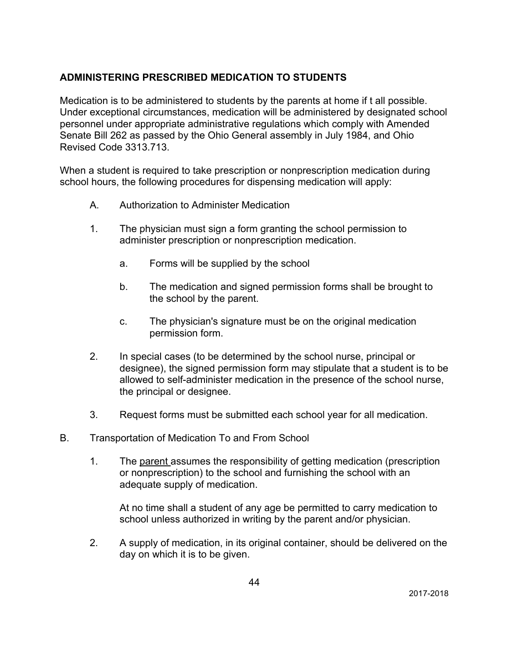### **ADMINISTERING PRESCRIBED MEDICATION TO STUDENTS**

Medication is to be administered to students by the parents at home if t all possible. Under exceptional circumstances, medication will be administered by designated school personnel under appropriate administrative regulations which comply with Amended Senate Bill 262 as passed by the Ohio General assembly in July 1984, and Ohio Revised Code 3313.713.

When a student is required to take prescription or nonprescription medication during school hours, the following procedures for dispensing medication will apply:

- A. Authorization to Administer Medication
- 1. The physician must sign a form granting the school permission to administer prescription or nonprescription medication.
	- a. Forms will be supplied by the school
	- b. The medication and signed permission forms shall be brought to the school by the parent.
	- c. The physician's signature must be on the original medication permission form.
- 2. In special cases (to be determined by the school nurse, principal or designee), the signed permission form may stipulate that a student is to be allowed to self-administer medication in the presence of the school nurse, the principal or designee.
- 3. Request forms must be submitted each school year for all medication.
- B. Transportation of Medication To and From School
	- 1. The parent assumes the responsibility of getting medication (prescription or nonprescription) to the school and furnishing the school with an adequate supply of medication.

At no time shall a student of any age be permitted to carry medication to school unless authorized in writing by the parent and/or physician.

2. A supply of medication, in its original container, should be delivered on the day on which it is to be given.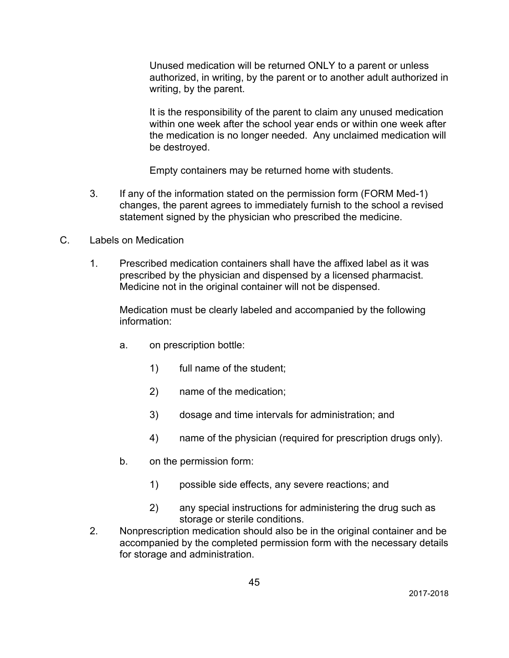Unused medication will be returned ONLY to a parent or unless authorized, in writing, by the parent or to another adult authorized in writing, by the parent.

It is the responsibility of the parent to claim any unused medication within one week after the school year ends or within one week after the medication is no longer needed. Any unclaimed medication will be destroyed.

Empty containers may be returned home with students.

- 3. If any of the information stated on the permission form (FORM Med-1) changes, the parent agrees to immediately furnish to the school a revised statement signed by the physician who prescribed the medicine.
- C. Labels on Medication
	- 1. Prescribed medication containers shall have the affixed label as it was prescribed by the physician and dispensed by a licensed pharmacist. Medicine not in the original container will not be dispensed.

Medication must be clearly labeled and accompanied by the following information:

- a. on prescription bottle:
	- 1) full name of the student;
	- 2) name of the medication;
	- 3) dosage and time intervals for administration; and
	- 4) name of the physician (required for prescription drugs only).
- b. on the permission form:
	- 1) possible side effects, any severe reactions; and
	- 2) any special instructions for administering the drug such as storage or sterile conditions.
- 2. Nonprescription medication should also be in the original container and be accompanied by the completed permission form with the necessary details for storage and administration.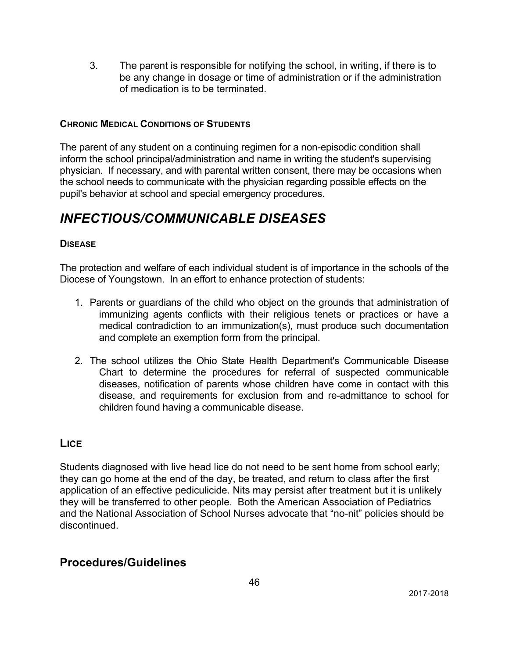3. The parent is responsible for notifying the school, in writing, if there is to be any change in dosage or time of administration or if the administration of medication is to be terminated.

### **CHRONIC MEDICAL CONDITIONS OF STUDENTS**

The parent of any student on a continuing regimen for a non-episodic condition shall inform the school principal/administration and name in writing the student's supervising physician. If necessary, and with parental written consent, there may be occasions when the school needs to communicate with the physician regarding possible effects on the pupil's behavior at school and special emergency procedures.

# *INFECTIOUS/COMMUNICABLE DISEASES*

### **DISEASE**

The protection and welfare of each individual student is of importance in the schools of the Diocese of Youngstown. In an effort to enhance protection of students:

- 1. Parents or guardians of the child who object on the grounds that administration of immunizing agents conflicts with their religious tenets or practices or have a medical contradiction to an immunization(s), must produce such documentation and complete an exemption form from the principal.
- 2. The school utilizes the Ohio State Health Department's Communicable Disease Chart to determine the procedures for referral of suspected communicable diseases, notification of parents whose children have come in contact with this disease, and requirements for exclusion from and re-admittance to school for children found having a communicable disease.

### **LICE**

Students diagnosed with live head lice do not need to be sent home from school early; they can go home at the end of the day, be treated, and return to class after the first application of an effective pediculicide. Nits may persist after treatment but it is unlikely they will be transferred to other people. Both the American Association of Pediatrics and the National Association of School Nurses advocate that "no-nit" policies should be discontinued.

### **Procedures/Guidelines**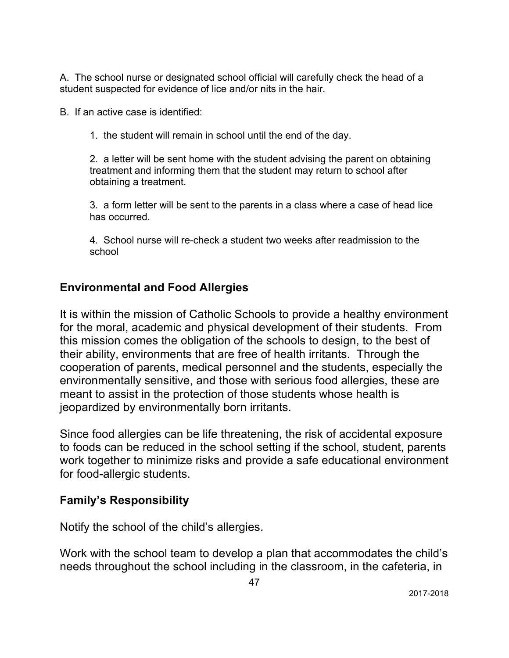A. The school nurse or designated school official will carefully check the head of a student suspected for evidence of lice and/or nits in the hair.

B. If an active case is identified:

1. the student will remain in school until the end of the day.

2. a letter will be sent home with the student advising the parent on obtaining treatment and informing them that the student may return to school after obtaining a treatment.

3. a form letter will be sent to the parents in a class where a case of head lice has occurred.

4. School nurse will re-check a student two weeks after readmission to the school

### **Environmental and Food Allergies**

It is within the mission of Catholic Schools to provide a healthy environment for the moral, academic and physical development of their students. From this mission comes the obligation of the schools to design, to the best of their ability, environments that are free of health irritants. Through the cooperation of parents, medical personnel and the students, especially the environmentally sensitive, and those with serious food allergies, these are meant to assist in the protection of those students whose health is jeopardized by environmentally born irritants.

Since food allergies can be life threatening, the risk of accidental exposure to foods can be reduced in the school setting if the school, student, parents work together to minimize risks and provide a safe educational environment for food-allergic students.

### **Family's Responsibility**

Notify the school of the child's allergies.

Work with the school team to develop a plan that accommodates the child's needs throughout the school including in the classroom, in the cafeteria, in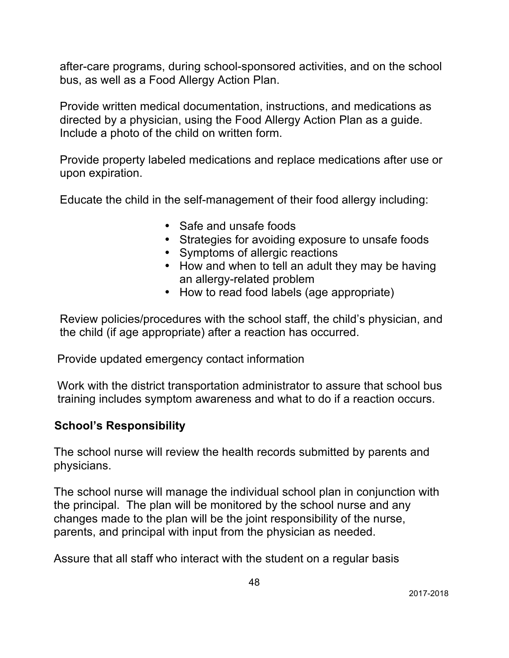after-care programs, during school-sponsored activities, and on the school bus, as well as a Food Allergy Action Plan.

Provide written medical documentation, instructions, and medications as directed by a physician, using the Food Allergy Action Plan as a guide. Include a photo of the child on written form.

Provide property labeled medications and replace medications after use or upon expiration.

Educate the child in the self-management of their food allergy including:

- Safe and unsafe foods
- Strategies for avoiding exposure to unsafe foods
- Symptoms of allergic reactions
- How and when to tell an adult they may be having an allergy-related problem
- How to read food labels (age appropriate)

Review policies/procedures with the school staff, the child's physician, and the child (if age appropriate) after a reaction has occurred.

Provide updated emergency contact information

 Work with the district transportation administrator to assure that school bus training includes symptom awareness and what to do if a reaction occurs.

### **School's Responsibility**

The school nurse will review the health records submitted by parents and physicians.

The school nurse will manage the individual school plan in conjunction with the principal. The plan will be monitored by the school nurse and any changes made to the plan will be the joint responsibility of the nurse, parents, and principal with input from the physician as needed.

Assure that all staff who interact with the student on a regular basis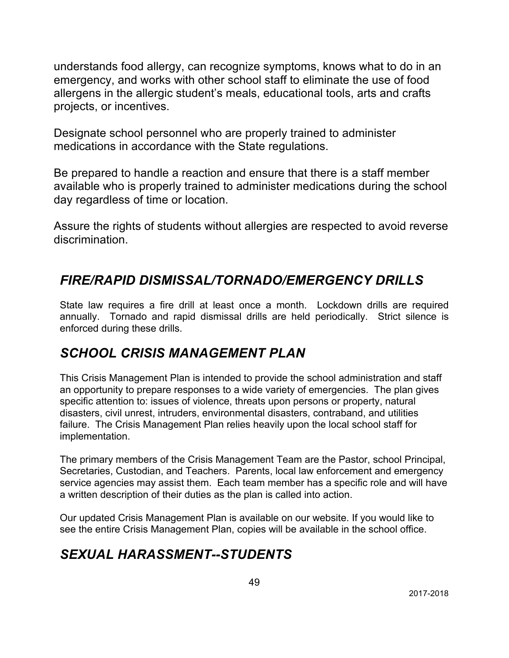understands food allergy, can recognize symptoms, knows what to do in an emergency, and works with other school staff to eliminate the use of food allergens in the allergic student's meals, educational tools, arts and crafts projects, or incentives.

Designate school personnel who are properly trained to administer medications in accordance with the State regulations.

Be prepared to handle a reaction and ensure that there is a staff member available who is properly trained to administer medications during the school day regardless of time or location.

Assure the rights of students without allergies are respected to avoid reverse discrimination.

## *FIRE/RAPID DISMISSAL/TORNADO/EMERGENCY DRILLS*

State law requires a fire drill at least once a month. Lockdown drills are required annually. Tornado and rapid dismissal drills are held periodically. Strict silence is enforced during these drills.

# *SCHOOL CRISIS MANAGEMENT PLAN*

This Crisis Management Plan is intended to provide the school administration and staff an opportunity to prepare responses to a wide variety of emergencies. The plan gives specific attention to: issues of violence, threats upon persons or property, natural disasters, civil unrest, intruders, environmental disasters, contraband, and utilities failure. The Crisis Management Plan relies heavily upon the local school staff for implementation.

The primary members of the Crisis Management Team are the Pastor, school Principal, Secretaries, Custodian, and Teachers. Parents, local law enforcement and emergency service agencies may assist them. Each team member has a specific role and will have a written description of their duties as the plan is called into action.

Our updated Crisis Management Plan is available on our website. If you would like to see the entire Crisis Management Plan, copies will be available in the school office.

## *SEXUAL HARASSMENT--STUDENTS*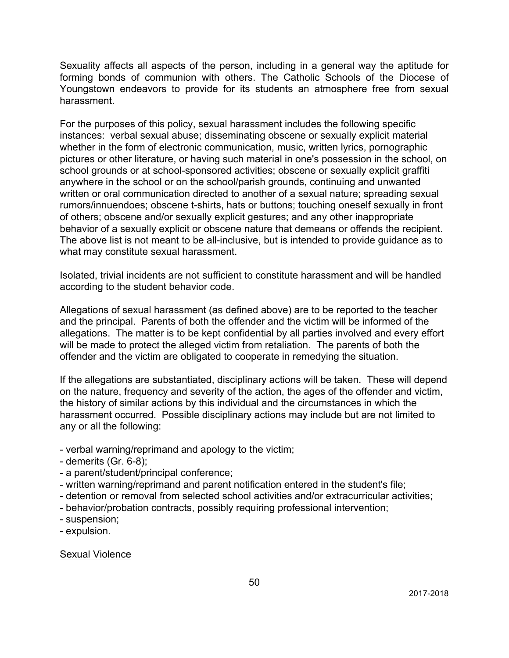Sexuality affects all aspects of the person, including in a general way the aptitude for forming bonds of communion with others. The Catholic Schools of the Diocese of Youngstown endeavors to provide for its students an atmosphere free from sexual harassment.

For the purposes of this policy, sexual harassment includes the following specific instances: verbal sexual abuse; disseminating obscene or sexually explicit material whether in the form of electronic communication, music, written lyrics, pornographic pictures or other literature, or having such material in one's possession in the school, on school grounds or at school-sponsored activities; obscene or sexually explicit graffiti anywhere in the school or on the school/parish grounds, continuing and unwanted written or oral communication directed to another of a sexual nature; spreading sexual rumors/innuendoes; obscene t-shirts, hats or buttons; touching oneself sexually in front of others; obscene and/or sexually explicit gestures; and any other inappropriate behavior of a sexually explicit or obscene nature that demeans or offends the recipient. The above list is not meant to be all-inclusive, but is intended to provide guidance as to what may constitute sexual harassment.

Isolated, trivial incidents are not sufficient to constitute harassment and will be handled according to the student behavior code.

Allegations of sexual harassment (as defined above) are to be reported to the teacher and the principal. Parents of both the offender and the victim will be informed of the allegations. The matter is to be kept confidential by all parties involved and every effort will be made to protect the alleged victim from retaliation. The parents of both the offender and the victim are obligated to cooperate in remedying the situation.

If the allegations are substantiated, disciplinary actions will be taken. These will depend on the nature, frequency and severity of the action, the ages of the offender and victim, the history of similar actions by this individual and the circumstances in which the harassment occurred. Possible disciplinary actions may include but are not limited to any or all the following:

- verbal warning/reprimand and apology to the victim;
- demerits (Gr. 6-8);
- a parent/student/principal conference;
- written warning/reprimand and parent notification entered in the student's file;
- detention or removal from selected school activities and/or extracurricular activities;
- behavior/probation contracts, possibly requiring professional intervention;
- suspension;
- expulsion.

Sexual Violence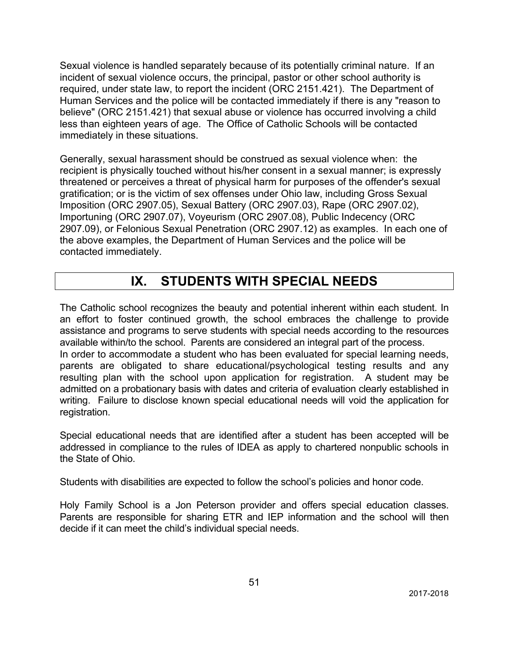Sexual violence is handled separately because of its potentially criminal nature. If an incident of sexual violence occurs, the principal, pastor or other school authority is required, under state law, to report the incident (ORC 2151.421). The Department of Human Services and the police will be contacted immediately if there is any "reason to believe" (ORC 2151.421) that sexual abuse or violence has occurred involving a child less than eighteen years of age. The Office of Catholic Schools will be contacted immediately in these situations.

Generally, sexual harassment should be construed as sexual violence when: the recipient is physically touched without his/her consent in a sexual manner; is expressly threatened or perceives a threat of physical harm for purposes of the offender's sexual gratification; or is the victim of sex offenses under Ohio law, including Gross Sexual Imposition (ORC 2907.05), Sexual Battery (ORC 2907.03), Rape (ORC 2907.02), Importuning (ORC 2907.07), Voyeurism (ORC 2907.08), Public Indecency (ORC 2907.09), or Felonious Sexual Penetration (ORC 2907.12) as examples. In each one of the above examples, the Department of Human Services and the police will be contacted immediately.

## **IX. STUDENTS WITH SPECIAL NEEDS**

The Catholic school recognizes the beauty and potential inherent within each student. In an effort to foster continued growth, the school embraces the challenge to provide assistance and programs to serve students with special needs according to the resources available within/to the school. Parents are considered an integral part of the process. In order to accommodate a student who has been evaluated for special learning needs, parents are obligated to share educational/psychological testing results and any resulting plan with the school upon application for registration. A student may be admitted on a probationary basis with dates and criteria of evaluation clearly established in writing. Failure to disclose known special educational needs will void the application for registration.

Special educational needs that are identified after a student has been accepted will be addressed in compliance to the rules of IDEA as apply to chartered nonpublic schools in the State of Ohio.

Students with disabilities are expected to follow the school's policies and honor code.

Holy Family School is a Jon Peterson provider and offers special education classes. Parents are responsible for sharing ETR and IEP information and the school will then decide if it can meet the child's individual special needs.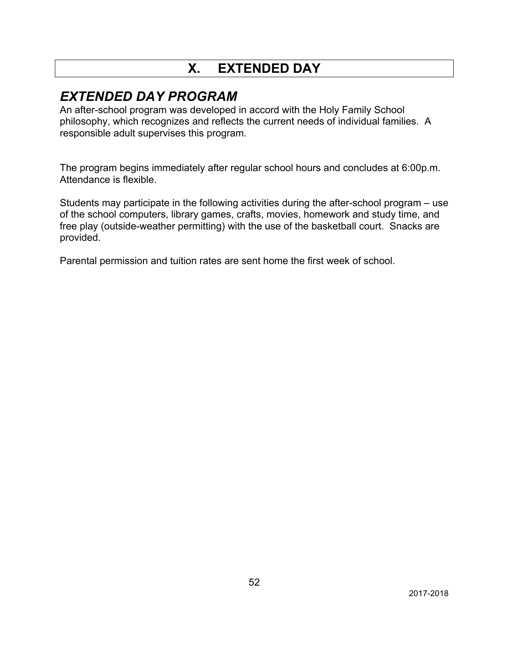# **X. EXTENDED DAY**

## *EXTENDED DAY PROGRAM*

An after-school program was developed in accord with the Holy Family School philosophy, which recognizes and reflects the current needs of individual families. A responsible adult supervises this program.

The program begins immediately after regular school hours and concludes at 6:00p.m. Attendance is flexible.

Students may participate in the following activities during the after-school program – use of the school computers, library games, crafts, movies, homework and study time, and free play (outside-weather permitting) with the use of the basketball court. Snacks are provided.

Parental permission and tuition rates are sent home the first week of school.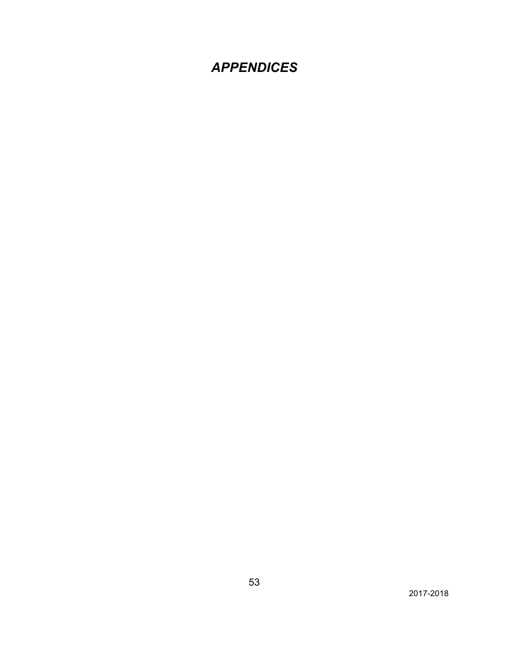# *APPENDICES*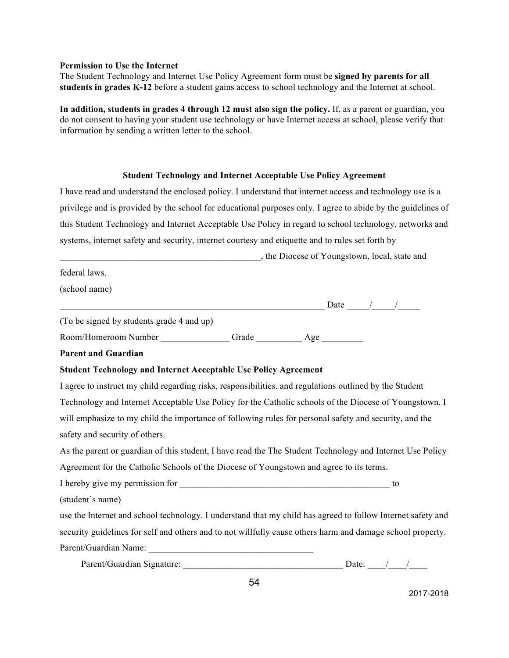#### **Permission to Use the Internet**

The Student Technology and Internet Use Policy Agreement form must be **signed by parents for all students in grades K-12** before a student gains access to school technology and the Internet at school.

**In addition, students in grades 4 through 12 must also sign the policy.** If, as a parent or guardian, you do not consent to having your student use technology or have Internet access at school, please verify that information by sending a written letter to the school.

#### **Student Technology and Internet Acceptable Use Policy Agreement**

I have read and understand the enclosed policy. I understand that internet access and technology use is a privilege and is provided by the school for educational purposes only. I agree to abide by the guidelines of this Student Technology and Internet Acceptable Use Policy in regard to school technology, networks and systems, internet safety and security, internet courtesy and etiquette and to rules set forth by

|                                                                                                             | _, the Diocese of Youngstown, local, state and |
|-------------------------------------------------------------------------------------------------------------|------------------------------------------------|
| federal laws.                                                                                               |                                                |
| (school name)                                                                                               |                                                |
|                                                                                                             |                                                |
| (To be signed by students grade 4 and up)                                                                   |                                                |
|                                                                                                             |                                                |
| <b>Parent and Guardian</b>                                                                                  |                                                |
| <b>Student Technology and Internet Acceptable Use Policy Agreement</b>                                      |                                                |
| I agree to instruct my child regarding risks, responsibilities. and regulations outlined by the Student     |                                                |
| Technology and Internet Acceptable Use Policy for the Catholic schools of the Diocese of Youngstown. I      |                                                |
| will emphasize to my child the importance of following rules for personal safety and security, and the      |                                                |
| safety and security of others.                                                                              |                                                |
| As the parent or guardian of this student, I have read the The Student Technology and Internet Use Policy   |                                                |
| Agreement for the Catholic Schools of the Diocese of Youngstown and agree to its terms.                     |                                                |
|                                                                                                             | to                                             |
| (student's name)                                                                                            |                                                |
| use the Internet and school technology. I understand that my child has agreed to follow Internet safety and |                                                |
| security guidelines for self and others and to not willfully cause others harm and damage school property.  |                                                |
|                                                                                                             |                                                |
|                                                                                                             |                                                |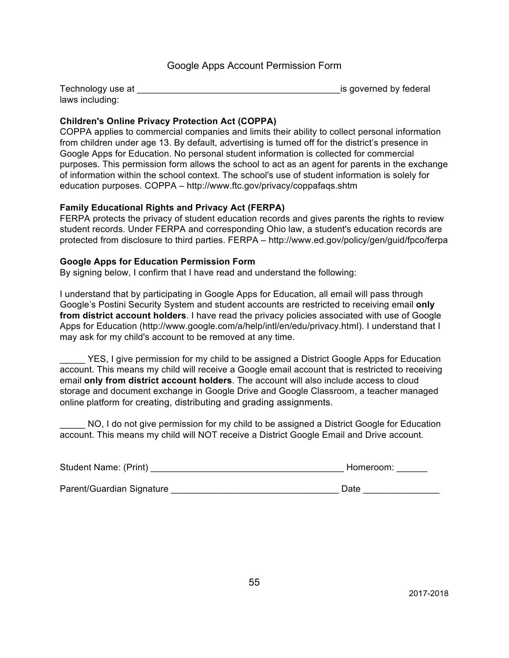#### Google Apps Account Permission Form

| Technology use at | is governed by federal |
|-------------------|------------------------|
| laws including:   |                        |

#### **Children's Online Privacy Protection Act (COPPA)**

COPPA applies to commercial companies and limits their ability to collect personal information from children under age 13. By default, advertising is turned off for the district's presence in Google Apps for Education. No personal student information is collected for commercial purposes. This permission form allows the school to act as an agent for parents in the exchange of information within the school context. The school's use of student information is solely for education purposes. COPPA – http://www.ftc.gov/privacy/coppafaqs.shtm

#### **Family Educational Rights and Privacy Act (FERPA)**

FERPA protects the privacy of student education records and gives parents the rights to review student records. Under FERPA and corresponding Ohio law, a student's education records are protected from disclosure to third parties. FERPA – http://www.ed.gov/policy/gen/guid/fpco/ferpa

#### **Google Apps for Education Permission Form**

By signing below, I confirm that I have read and understand the following:

I understand that by participating in Google Apps for Education, all email will pass through Google's Postini Security System and student accounts are restricted to receiving email **only from district account holders**. I have read the privacy policies associated with use of Google Apps for Education (http://www.google.com/a/help/intl/en/edu/privacy.html). I understand that I may ask for my child's account to be removed at any time.

YES, I give permission for my child to be assigned a District Google Apps for Education account. This means my child will receive a Google email account that is restricted to receiving email **only from district account holders**. The account will also include access to cloud storage and document exchange in Google Drive and Google Classroom, a teacher managed online platform for creating, distributing and grading assignments.

NO, I do not give permission for my child to be assigned a District Google for Education account. This means my child will NOT receive a District Google Email and Drive account.

| Student Name: (Print)     | Homeroom: |
|---------------------------|-----------|
| Parent/Guardian Signature | Date      |